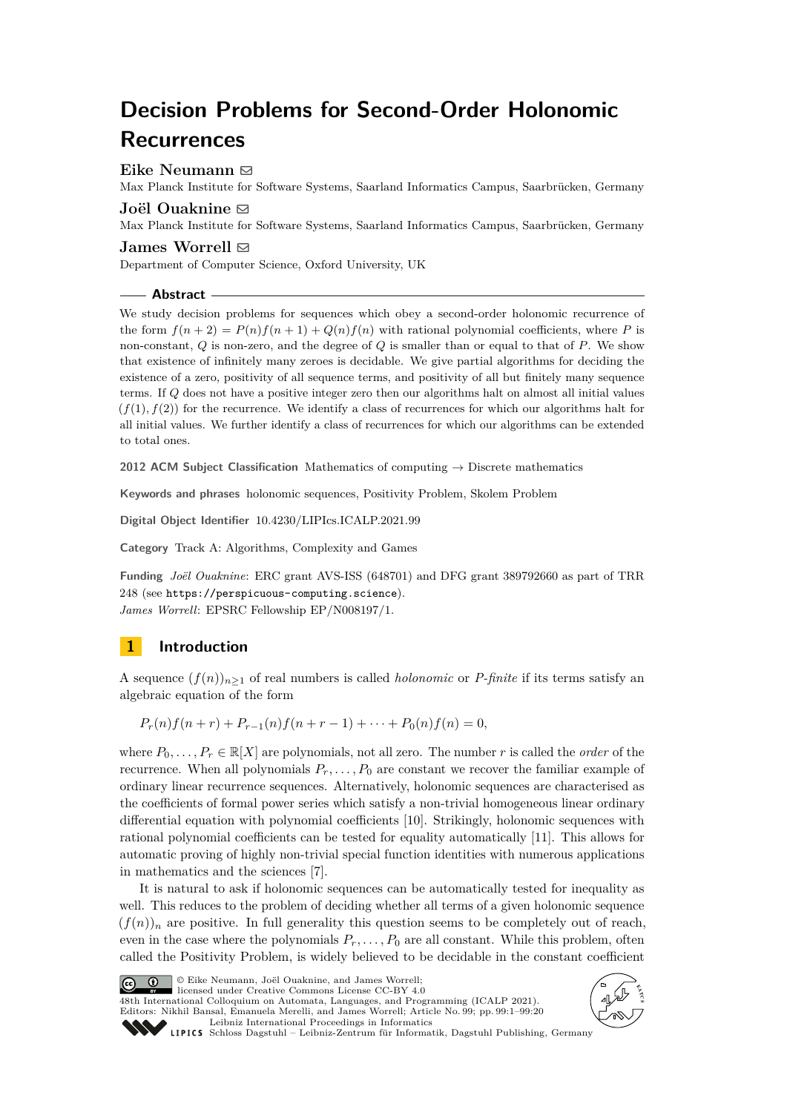# **Decision Problems for Second-Order Holonomic Recurrences**

## **Eike Neumann** ⊠

Max Planck Institute for Software Systems, Saarland Informatics Campus, Saarbrücken, Germany

# **Joël Ouaknine ⊠**

Max Planck Institute for Software Systems, Saarland Informatics Campus, Saarbrücken, Germany

## **James Worrell** ⊠

Department of Computer Science, Oxford University, UK

## **Abstract**

We study decision problems for sequences which obey a second-order holonomic recurrence of the form  $f(n+2) = P(n)f(n+1) + Q(n)f(n)$  with rational polynomial coefficients, where P is non-constant, *Q* is non-zero, and the degree of *Q* is smaller than or equal to that of *P*. We show that existence of infinitely many zeroes is decidable. We give partial algorithms for deciding the existence of a zero, positivity of all sequence terms, and positivity of all but finitely many sequence terms. If *Q* does not have a positive integer zero then our algorithms halt on almost all initial values  $(f(1), f(2))$  for the recurrence. We identify a class of recurrences for which our algorithms halt for all initial values. We further identify a class of recurrences for which our algorithms can be extended to total ones.

**2012 ACM Subject Classification** Mathematics of computing → Discrete mathematics

**Keywords and phrases** holonomic sequences, Positivity Problem, Skolem Problem

**Digital Object Identifier** [10.4230/LIPIcs.ICALP.2021.99](https://doi.org/10.4230/LIPIcs.ICALP.2021.99)

**Category** Track A: Algorithms, Complexity and Games

**Funding** *Joël Ouaknine*: ERC grant AVS-ISS (648701) and DFG grant 389792660 as part of TRR 248 (see <https://perspicuous-computing.science>). *James Worrell*: EPSRC Fellowship EP/N008197/1.

# **1 Introduction**

A sequence  $(f(n))_{n\geq 1}$  of real numbers is called *holonomic* or *P-finite* if its terms satisfy an algebraic equation of the form

 $P_r(n) f(n+r) + P_{r-1}(n) f(n+r-1) + \cdots + P_0(n) f(n) = 0$ 

where  $P_0, \ldots, P_r \in \mathbb{R}[X]$  are polynomials, not all zero. The number *r* is called the *order* of the recurrence. When all polynomials  $P_r, \ldots, P_0$  are constant we recover the familiar example of ordinary linear recurrence sequences. Alternatively, holonomic sequences are characterised as the coefficients of formal power series which satisfy a non-trivial homogeneous linear ordinary differential equation with polynomial coefficients [\[10\]](#page-19-0). Strikingly, holonomic sequences with rational polynomial coefficients can be tested for equality automatically [\[11\]](#page-19-1). This allows for automatic proving of highly non-trivial special function identities with numerous applications in mathematics and the sciences [\[7\]](#page-19-2).

It is natural to ask if holonomic sequences can be automatically tested for inequality as well. This reduces to the problem of deciding whether all terms of a given holonomic sequence  $(f(n))_n$  are positive. In full generality this question seems to be completely out of reach, even in the case where the polynomials  $P_r, \ldots, P_0$  are all constant. While this problem, often called the Positivity Problem, is widely believed to be decidable in the constant coefficient



© Eike Neumann, Joël Ouaknine, and James Worrell; licensed under Creative Commons License CC-BY 4.0

48th International Colloquium on Automata, Languages, and Programming (ICALP 2021). Editors: Nikhil Bansal, Emanuela Merelli, and James Worrell; Article No. 99; pp. 99:1–99:20 [Leibniz International Proceedings in Informatics](https://www.dagstuhl.de/lipics/)



[Schloss Dagstuhl – Leibniz-Zentrum für Informatik, Dagstuhl Publishing, Germany](https://www.dagstuhl.de)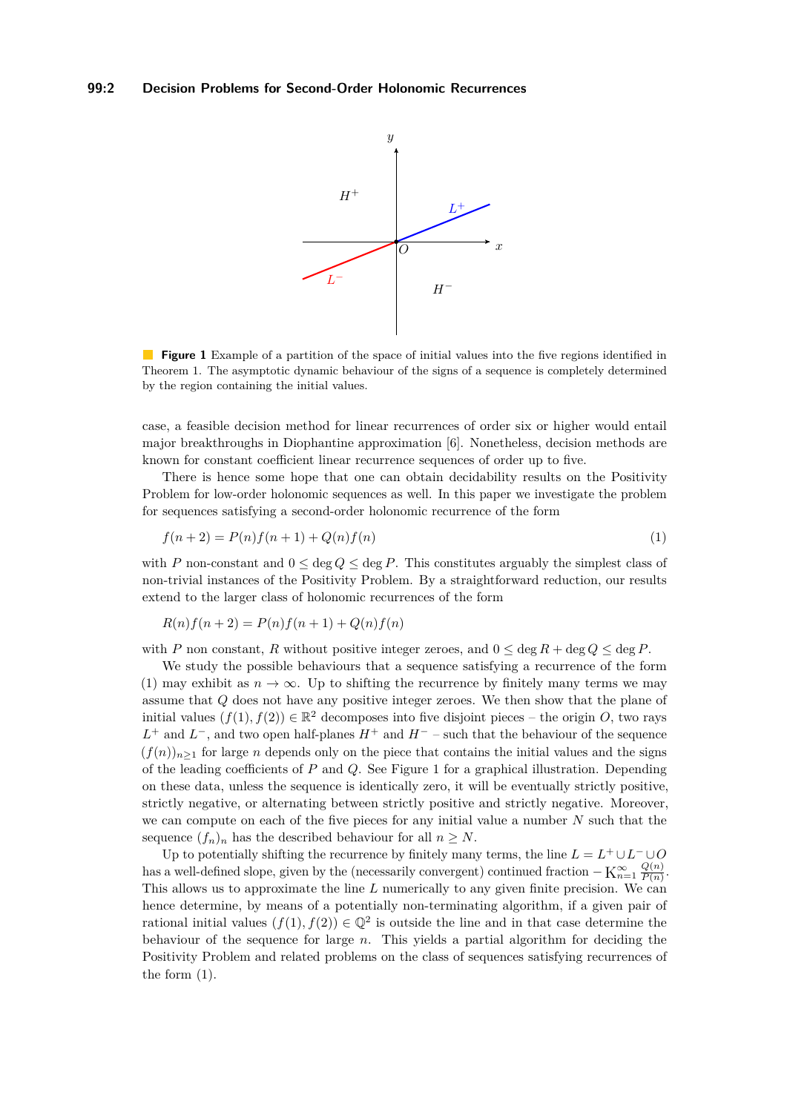<span id="page-1-1"></span>

**Figure 1** Example of a partition of the space of initial values into the five regions identified in Theorem [1.](#page-3-0) The asymptotic dynamic behaviour of the signs of a sequence is completely determined by the region containing the initial values.

case, a feasible decision method for linear recurrences of order six or higher would entail major breakthroughs in Diophantine approximation [\[6\]](#page-19-3). Nonetheless, decision methods are known for constant coefficient linear recurrence sequences of order up to five.

There is hence some hope that one can obtain decidability results on the Positivity Problem for low-order holonomic sequences as well. In this paper we investigate the problem for sequences satisfying a second-order holonomic recurrence of the form

<span id="page-1-0"></span>
$$
f(n+2) = P(n)f(n+1) + Q(n)f(n)
$$
\n(1)

with *P* non-constant and  $0 \le \deg Q \le \deg P$ . This constitutes arguably the simplest class of non-trivial instances of the Positivity Problem. By a straightforward reduction, our results extend to the larger class of holonomic recurrences of the form

$$
R(n)f(n+2) = P(n)f(n+1) + Q(n)f(n)
$$

with *P* non constant, *R* without positive integer zeroes, and  $0 \le \deg R + \deg Q \le \deg P$ .

We study the possible behaviours that a sequence satisfying a recurrence of the form [\(1\)](#page-1-0) may exhibit as  $n \to \infty$ . Up to shifting the recurrence by finitely many terms we may assume that *Q* does not have any positive integer zeroes. We then show that the plane of initial values  $(f(1), f(2)) \in \mathbb{R}^2$  decomposes into five disjoint pieces – the origin *O*, two rays  $L^+$  and  $L^-$ , and two open half-planes  $H^+$  and  $H^-$  – such that the behaviour of the sequence  $(f(n))_{n\geq 1}$  for large *n* depends only on the piece that contains the initial values and the signs of the leading coefficients of *P* and *Q*. See Figure [1](#page-1-1) for a graphical illustration. Depending on these data, unless the sequence is identically zero, it will be eventually strictly positive, strictly negative, or alternating between strictly positive and strictly negative. Moreover, we can compute on each of the five pieces for any initial value a number *N* such that the sequence  $(f_n)_n$  has the described behaviour for all  $n \geq N$ .

Up to potentially shifting the recurrence by finitely many terms, the line  $L = L^+ \cup L^- \cup O$ has a well-defined slope, given by the (necessarily convergent) continued fraction  $-K_{n=1}^{\infty} \frac{Q(n)}{P(n)}$  $\frac{Q(n)}{P(n)}$ . This allows us to approximate the line *L* numerically to any given finite precision. We can hence determine, by means of a potentially non-terminating algorithm, if a given pair of rational initial values  $(f(1), f(2)) \in \mathbb{Q}^2$  is outside the line and in that case determine the behaviour of the sequence for large *n*. This yields a partial algorithm for deciding the Positivity Problem and related problems on the class of sequences satisfying recurrences of the form [\(1\)](#page-1-0).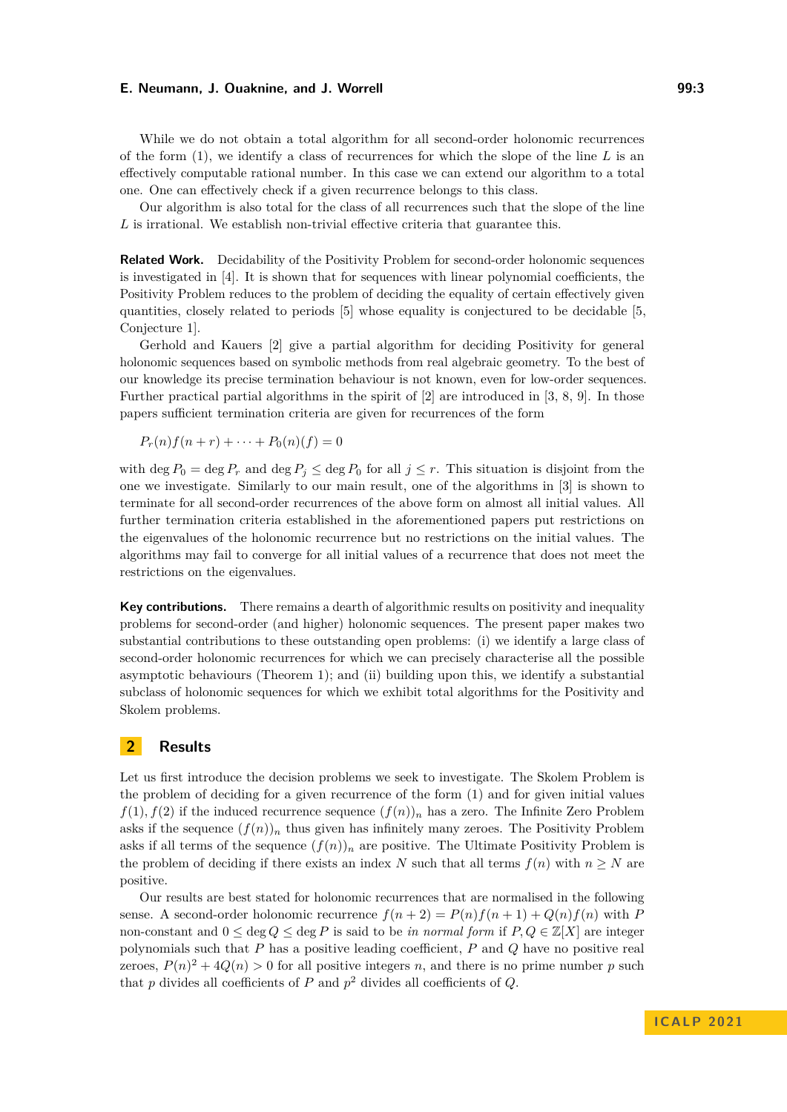While we do not obtain a total algorithm for all second-order holonomic recurrences of the form [\(1\)](#page-1-0), we identify a class of recurrences for which the slope of the line *L* is an effectively computable rational number. In this case we can extend our algorithm to a total one. One can effectively check if a given recurrence belongs to this class.

Our algorithm is also total for the class of all recurrences such that the slope of the line *L* is irrational. We establish non-trivial effective criteria that guarantee this.

**Related Work.** Decidability of the Positivity Problem for second-order holonomic sequences is investigated in [\[4\]](#page-19-4). It is shown that for sequences with linear polynomial coefficients, the Positivity Problem reduces to the problem of deciding the equality of certain effectively given quantities, closely related to periods [\[5\]](#page-19-5) whose equality is conjectured to be decidable [\[5,](#page-19-5) Conjecture 1].

Gerhold and Kauers [\[2\]](#page-19-6) give a partial algorithm for deciding Positivity for general holonomic sequences based on symbolic methods from real algebraic geometry. To the best of our knowledge its precise termination behaviour is not known, even for low-order sequences. Further practical partial algorithms in the spirit of [\[2\]](#page-19-6) are introduced in [\[3,](#page-19-7) [8,](#page-19-8) [9\]](#page-19-9). In those papers sufficient termination criteria are given for recurrences of the form

$$
P_r(n)f(n+r)+\cdots+P_0(n)(f)=0
$$

with deg  $P_0 = \deg P_r$  and  $\deg P_j \leq \deg P_0$  for all  $j \leq r$ . This situation is disjoint from the one we investigate. Similarly to our main result, one of the algorithms in [\[3\]](#page-19-7) is shown to terminate for all second-order recurrences of the above form on almost all initial values. All further termination criteria established in the aforementioned papers put restrictions on the eigenvalues of the holonomic recurrence but no restrictions on the initial values. The algorithms may fail to converge for all initial values of a recurrence that does not meet the restrictions on the eigenvalues.

**Key contributions.** There remains a dearth of algorithmic results on positivity and inequality problems for second-order (and higher) holonomic sequences. The present paper makes two substantial contributions to these outstanding open problems: (i) we identify a large class of second-order holonomic recurrences for which we can precisely characterise all the possible asymptotic behaviours (Theorem [1\)](#page-3-0); and (ii) building upon this, we identify a substantial subclass of holonomic sequences for which we exhibit total algorithms for the Positivity and Skolem problems.

## **2 Results**

Let us first introduce the decision problems we seek to investigate. The Skolem Problem is the problem of deciding for a given recurrence of the form [\(1\)](#page-1-0) and for given initial values  $f(1)$ ,  $f(2)$  if the induced recurrence sequence  $(f(n))_n$  has a zero. The Infinite Zero Problem asks if the sequence  $(f(n))_n$  thus given has infinitely many zeroes. The Positivity Problem asks if all terms of the sequence  $(f(n))_n$  are positive. The Ultimate Positivity Problem is the problem of deciding if there exists an index *N* such that all terms  $f(n)$  with  $n \geq N$  are positive.

Our results are best stated for holonomic recurrences that are normalised in the following sense. A second-order holonomic recurrence  $f(n+2) = P(n)f(n+1) + Q(n)f(n)$  with P non-constant and  $0 \le \deg Q \le \deg P$  is said to be *in normal form* if  $P, Q \in \mathbb{Z}[X]$  are integer polynomials such that *P* has a positive leading coefficient, *P* and *Q* have no positive real zeroes,  $P(n)^2 + 4Q(n) > 0$  for all positive integers *n*, and there is no prime number *p* such that  $p$  divides all coefficients of  $P$  and  $p^2$  divides all coefficients of  $Q$ .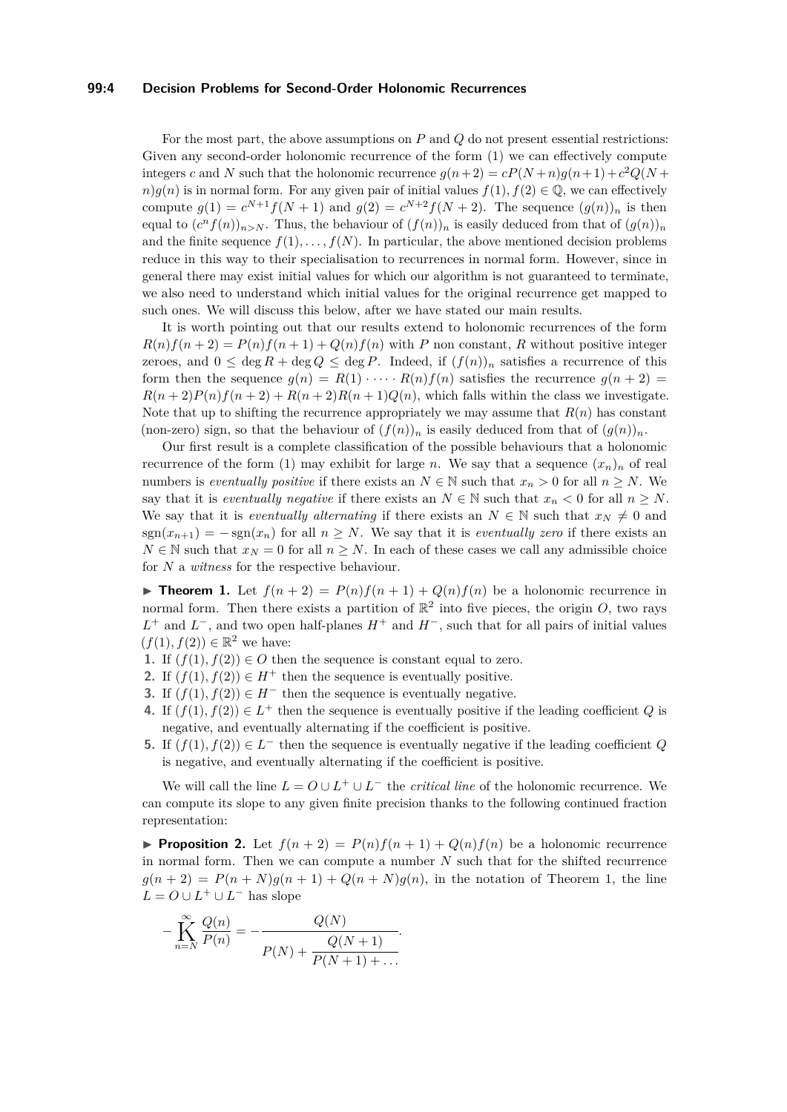## **99:4 Decision Problems for Second-Order Holonomic Recurrences**

For the most part, the above assumptions on *P* and *Q* do not present essential restrictions: Given any second-order holonomic recurrence of the form [\(1\)](#page-1-0) we can effectively compute integers *c* and *N* such that the holonomic recurrence  $g(n+2) = cP(N+n)g(n+1) + c^2Q(N+n)$  $n$ )*g*(*n*) is in normal form. For any given pair of initial values  $f(1)$ *,*  $f(2) \in \mathbb{Q}$ *,* we can effectively compute  $g(1) = c^{N+1} f(N + 1)$  and  $g(2) = c^{N+2} f(N + 2)$ . The sequence  $(g(n))_n$  is then equal to  $(c^n f(n))_{n>N}$ . Thus, the behaviour of  $(f(n))_n$  is easily deduced from that of  $(g(n))_n$ and the finite sequence  $f(1), \ldots, f(N)$ . In particular, the above mentioned decision problems reduce in this way to their specialisation to recurrences in normal form. However, since in general there may exist initial values for which our algorithm is not guaranteed to terminate, we also need to understand which initial values for the original recurrence get mapped to such ones. We will discuss this below, after we have stated our main results.

It is worth pointing out that our results extend to holonomic recurrences of the form  $R(n)f(n+2) = P(n)f(n+1) + Q(n)f(n)$  with *P* non constant, *R* without positive integer zeroes, and  $0 \le \deg R + \deg Q \le \deg P$ . Indeed, if  $(f(n))_n$  satisfies a recurrence of this form then the sequence  $g(n) = R(1) \cdot \cdots \cdot R(n) f(n)$  satisfies the recurrence  $g(n+2) =$  $R(n+2)P(n)f(n+2) + R(n+2)R(n+1)Q(n)$ , which falls within the class we investigate. Note that up to shifting the recurrence appropriately we may assume that  $R(n)$  has constant (non-zero) sign, so that the behaviour of  $(f(n))_n$  is easily deduced from that of  $(g(n))_n$ .

Our first result is a complete classification of the possible behaviours that a holonomic recurrence of the form [\(1\)](#page-1-0) may exhibit for large *n*. We say that a sequence  $(x_n)_n$  of real numbers is *eventually positive* if there exists an  $N \in \mathbb{N}$  such that  $x_n > 0$  for all  $n \geq N$ . We say that it is *eventually negative* if there exists an  $N \in \mathbb{N}$  such that  $x_n < 0$  for all  $n \geq N$ . We say that it is *eventually alternating* if there exists an  $N \in \mathbb{N}$  such that  $x_N \neq 0$  and  $sgn(x_{n+1}) = -sgn(x_n)$  for all  $n \geq N$ . We say that it is *eventually zero* if there exists an  $N \in \mathbb{N}$  such that  $x_N = 0$  for all  $n \geq N$ . In each of these cases we call any admissible choice for *N* a *witness* for the respective behaviour.

<span id="page-3-0"></span>**Findment 1.** Let  $f(n+2) = P(n)f(n+1) + Q(n)f(n)$  be a holonomic recurrence in normal form. Then there exists a partition of  $\mathbb{R}^2$  into five pieces, the origin *O*, two rays *L*<sup>+</sup> and *L*<sup>−</sup>, and two open half-planes *H*<sup>+</sup> and *H*<sup>−</sup>, such that for all pairs of initial values  $(f(1), f(2)) \in \mathbb{R}^2$  we have:

- **1.** If  $(f(1), f(2)) \in O$  then the sequence is constant equal to zero.
- **2.** If  $(f(1), f(2)) \in H^+$  then the sequence is eventually positive.
- **3.** If  $(f(1), f(2)) \in H^-$  then the sequence is eventually negative.
- **4.** If  $(f(1), f(2)) \in L^+$  then the sequence is eventually positive if the leading coefficient *Q* is negative, and eventually alternating if the coefficient is positive.
- **5.** If  $(f(1), f(2)) \in L^-$  then the sequence is eventually negative if the leading coefficient *Q* is negative, and eventually alternating if the coefficient is positive.

We will call the line  $L = O \cup L^+ \cup L^-$  the *critical line* of the holonomic recurrence. We can compute its slope to any given finite precision thanks to the following continued fraction representation:

<span id="page-3-1"></span>**• Proposition 2.** Let  $f(n+2) = P(n)f(n+1) + Q(n)f(n)$  be a holonomic recurrence in normal form. Then we can compute a number *N* such that for the shifted recurrence  $g(n+2) = P(n+N)g(n+1) + Q(n+N)g(n)$ , in the notation of Theorem [1,](#page-3-0) the line  $L = O \cup L^+ \cup L^-$  has slope

$$
-\prod_{n=N}^{\infty} \frac{Q(n)}{P(n)} = -\frac{Q(N)}{P(N) + \frac{Q(N+1)}{P(N+1)+\dots}}.
$$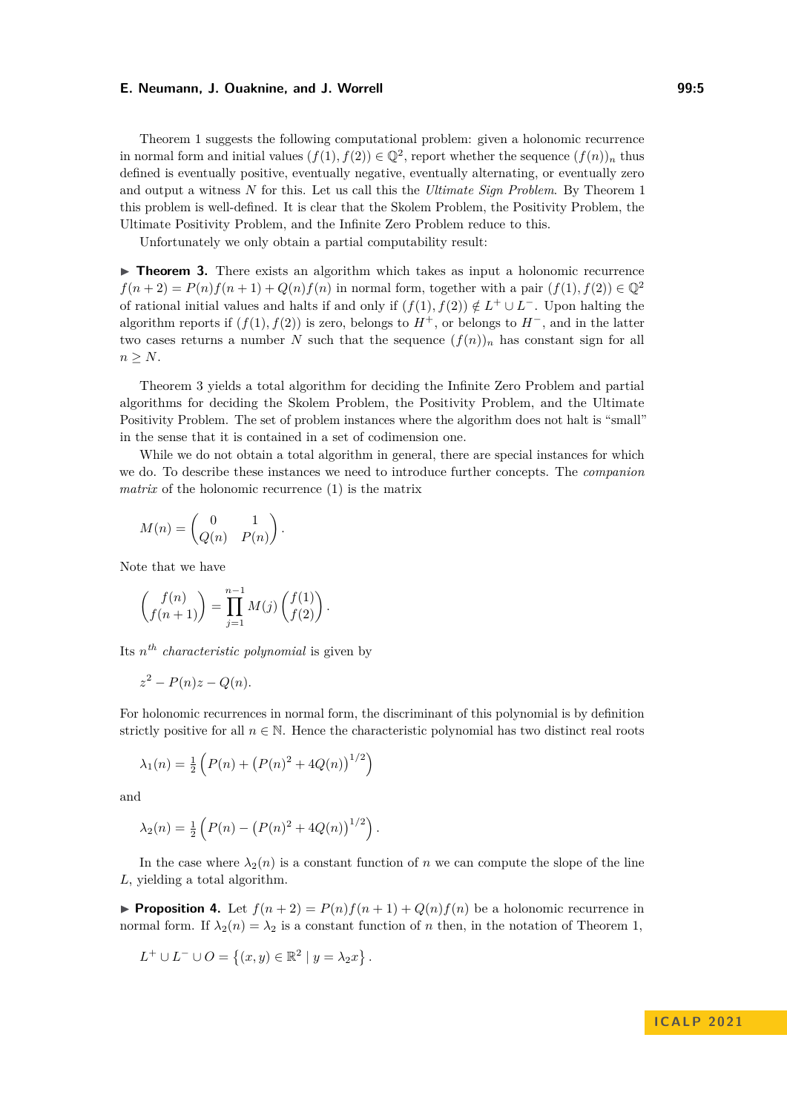Theorem [1](#page-3-0) suggests the following computational problem: given a holonomic recurrence in normal form and initial values  $(f(1), f(2)) \in \mathbb{Q}^2$ , report whether the sequence  $(f(n))_n$  thus defined is eventually positive, eventually negative, eventually alternating, or eventually zero and output a witness *N* for this. Let us call this the *Ultimate Sign Problem*. By Theorem [1](#page-3-0) this problem is well-defined. It is clear that the Skolem Problem, the Positivity Problem, the Ultimate Positivity Problem, and the Infinite Zero Problem reduce to this.

Unfortunately we only obtain a partial computability result:

<span id="page-4-0"></span>▶ **Theorem 3.** There exists an algorithm which takes as input a holonomic recurrence  $f(n+2) = P(n)f(n+1) + Q(n)f(n)$  in normal form, together with a pair  $(f(1), f(2)) \in \mathbb{Q}^2$ of rational initial values and halts if and only if  $(f(1), f(2)) \notin L^+ \cup L^-$ . Upon halting the algorithm reports if  $(f(1), f(2))$  is zero, belongs to  $H^+$ , or belongs to  $H^-$ , and in the latter two cases returns a number *N* such that the sequence  $(f(n))_n$  has constant sign for all  $n \geq N$ .

Theorem [3](#page-4-0) yields a total algorithm for deciding the Infinite Zero Problem and partial algorithms for deciding the Skolem Problem, the Positivity Problem, and the Ultimate Positivity Problem. The set of problem instances where the algorithm does not halt is "small" in the sense that it is contained in a set of codimension one.

While we do not obtain a total algorithm in general, there are special instances for which we do. To describe these instances we need to introduce further concepts. The *companion matrix* of the holonomic recurrence [\(1\)](#page-1-0) is the matrix

$$
M(n) = \begin{pmatrix} 0 & 1 \\ Q(n) & P(n) \end{pmatrix}.
$$

Note that we have

$$
\binom{f(n)}{f(n+1)} = \prod_{j=1}^{n-1} M(j) \binom{f(1)}{f(2)}.
$$

Its *n th characteristic polynomial* is given by

$$
z^2 - P(n)z - Q(n).
$$

For holonomic recurrences in normal form, the discriminant of this polynomial is by definition strictly positive for all  $n \in \mathbb{N}$ . Hence the characteristic polynomial has two distinct real roots

$$
\lambda_1(n) = \frac{1}{2} \left( P(n) + \left( P(n)^2 + 4Q(n) \right)^{1/2} \right)
$$

and

$$
\lambda_2(n) = \frac{1}{2} \left( P(n) - \left( P(n)^2 + 4Q(n) \right)^{1/2} \right).
$$

In the case where  $\lambda_2(n)$  is a constant function of *n* we can compute the slope of the line *L*, yielding a total algorithm.

<span id="page-4-1"></span>**• Proposition 4.** Let  $f(n+2) = P(n)f(n+1) + Q(n)f(n)$  be a holonomic recurrence in normal form. If  $\lambda_2(n) = \lambda_2$  is a constant function of *n* then, in the notation of Theorem [1,](#page-3-0)

<span id="page-4-2"></span>
$$
L^{+} \cup L^{-} \cup O = \left\{ (x, y) \in \mathbb{R}^{2} \mid y = \lambda_{2} x \right\}.
$$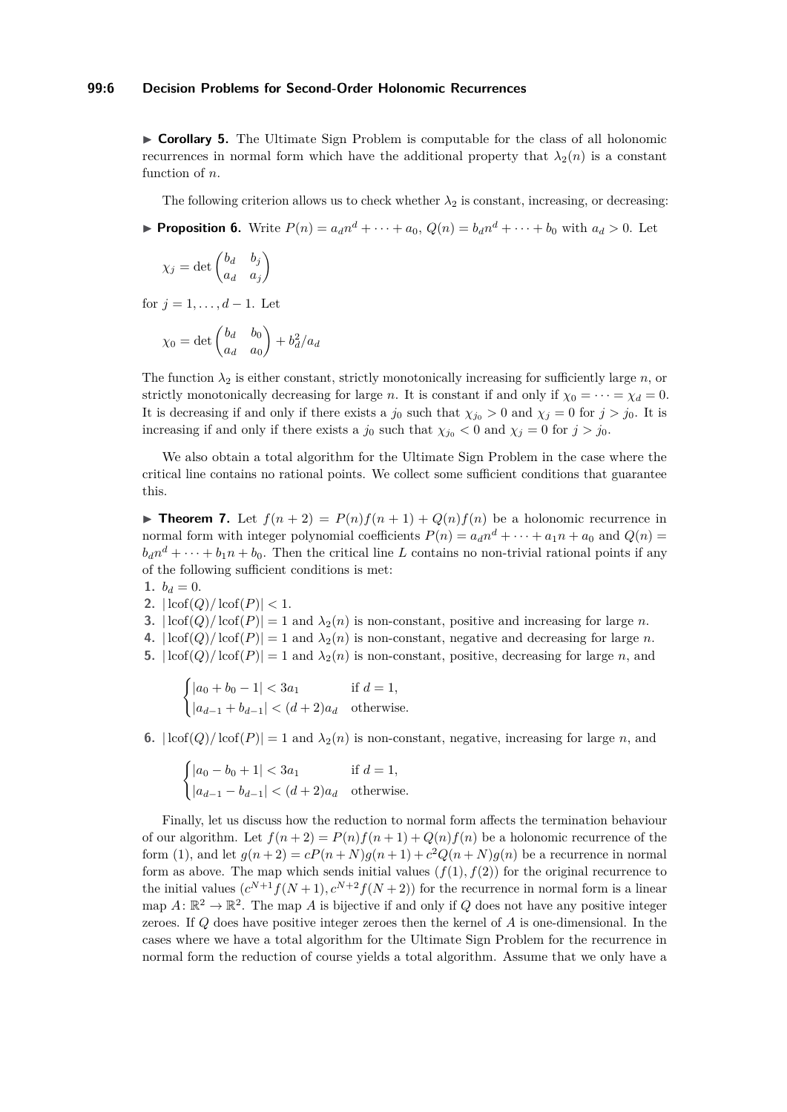#### **99:6 Decision Problems for Second-Order Holonomic Recurrences**

▶ **Corollary 5.** The Ultimate Sign Problem is computable for the class of all holonomic recurrences in normal form which have the additional property that  $\lambda_2(n)$  is a constant function of *n*.

The following criterion allows us to check whether  $\lambda_2$  is constant, increasing, or decreasing:

<span id="page-5-0"></span>**• Proposition 6.** Write  $P(n) = a_d n^d + \cdots + a_0$ ,  $Q(n) = b_d n^d + \cdots + b_0$  with  $a_d > 0$ . Let

$$
\chi_j = \det \begin{pmatrix} b_d & b_j \\ a_d & a_j \end{pmatrix}
$$

for  $j = 1, ..., d - 1$ . Let

$$
\chi_0 = \det \begin{pmatrix} b_d & b_0 \\ a_d & a_0 \end{pmatrix} + b_d^2 / a_d
$$

The function  $\lambda_2$  is either constant, strictly monotonically increasing for sufficiently large *n*, or strictly monotonically decreasing for large *n*. It is constant if and only if  $\chi_0 = \cdots = \chi_d = 0$ . It is decreasing if and only if there exists a  $j_0$  such that  $\chi_{j_0} > 0$  and  $\chi_j = 0$  for  $j > j_0$ . It is increasing if and only if there exists a  $j_0$  such that  $\chi_{j_0} < 0$  and  $\chi_j = 0$  for  $j > j_0$ .

We also obtain a total algorithm for the Ultimate Sign Problem in the case where the critical line contains no rational points. We collect some sufficient conditions that guarantee this.

<span id="page-5-1"></span>**Find Theorem 7.** Let  $f(n+2) = P(n)f(n+1) + Q(n)f(n)$  be a holonomic recurrence in normal form with integer polynomial coefficients  $P(n) = a_d n^d + \cdots + a_1 n + a_0$  and  $Q(n) =$  $b_d n^d + \cdots + b_1 n + b_0$ . Then the critical line *L* contains no non-trivial rational points if any of the following sufficient conditions is met:

$$
1. \, b_d=0.
$$

$$
2. \left| \operatorname{locf}(Q) / \operatorname{locf}(P) \right| < 1.
$$

- **3.**  $|\text{Lof}(Q)/\text{Lof}(P)| = 1$  and  $\lambda_2(n)$  is non-constant, positive and increasing for large *n*.
- **4.**  $|\text{Lof}(Q)/\text{Lof}(P)| = 1$  and  $\lambda_2(n)$  is non-constant, negative and decreasing for large *n*.
- **5.**  $|\text{Lof}(Q)/\text{Lof}(P)| = 1$  and  $\lambda_2(n)$  is non-constant, positive, decreasing for large *n*, and

$$
\begin{cases} |a_0 + b_0 - 1| < 3a_1 & \text{if } d = 1, \\ |a_{d-1} + b_{d-1}| < (d+2)a_d & \text{otherwise.} \end{cases}
$$

**6.**  $|\text{Lof}(Q)/\text{Lof}(P)| = 1$  and  $\lambda_2(n)$  is non-constant, negative, increasing for large *n*, and

$$
\begin{cases} |a_0 - b_0 + 1| < 3a_1 & \text{if } d = 1, \\ |a_{d-1} - b_{d-1}| < (d+2)a_d & \text{otherwise.} \end{cases}
$$

Finally, let us discuss how the reduction to normal form affects the termination behaviour of our algorithm. Let  $f(n+2) = P(n)f(n+1) + Q(n)f(n)$  be a holonomic recurrence of the form [\(1\)](#page-1-0), and let  $g(n+2) = cP(n+N)g(n+1) + c^2Q(n+N)g(n)$  be a recurrence in normal form as above. The map which sends initial values  $(f(1), f(2))$  for the original recurrence to the initial values  $(c^{N+1}f(N+1), c^{N+2}f(N+2))$  for the recurrence in normal form is a linear map  $A: \mathbb{R}^2 \to \mathbb{R}^2$ . The map A is bijective if and only if Q does not have any positive integer zeroes. If *Q* does have positive integer zeroes then the kernel of *A* is one-dimensional. In the cases where we have a total algorithm for the Ultimate Sign Problem for the recurrence in normal form the reduction of course yields a total algorithm. Assume that we only have a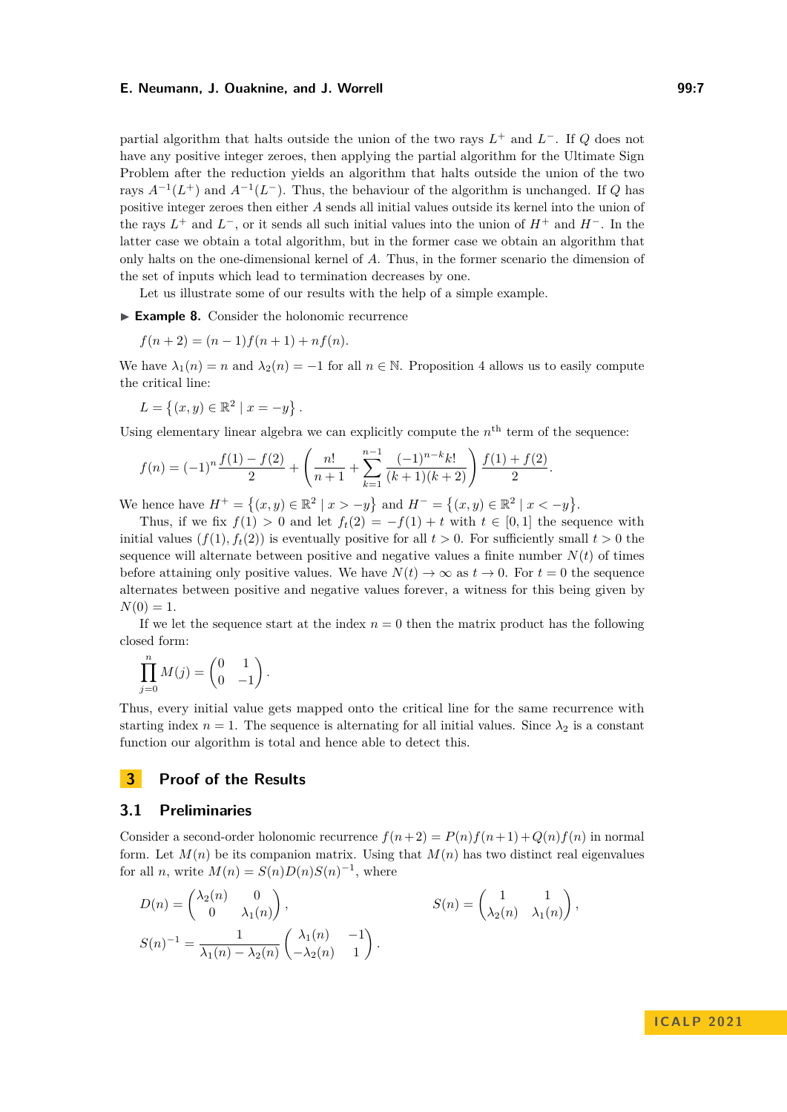partial algorithm that halts outside the union of the two rays *L* <sup>+</sup> and *L* <sup>−</sup>. If *Q* does not have any positive integer zeroes, then applying the partial algorithm for the Ultimate Sign Problem after the reduction yields an algorithm that halts outside the union of the two rays  $A^{-1}(L^+)$  and  $A^{-1}(L^-)$ . Thus, the behaviour of the algorithm is unchanged. If *Q* has positive integer zeroes then either *A* sends all initial values outside its kernel into the union of the rays *L* <sup>+</sup> and *L* <sup>−</sup>, or it sends all such initial values into the union of *H*<sup>+</sup> and *H*−. In the latter case we obtain a total algorithm, but in the former case we obtain an algorithm that only halts on the one-dimensional kernel of *A*. Thus, in the former scenario the dimension of the set of inputs which lead to termination decreases by one.

Let us illustrate some of our results with the help of a simple example.

▶ **Example 8.** Consider the holonomic recurrence

$$
f(n+2) = (n-1)f(n+1) + nf(n).
$$

We have  $\lambda_1(n) = n$  and  $\lambda_2(n) = -1$  for all  $n \in \mathbb{N}$ . Proposition [4](#page-4-1) allows us to easily compute the critical line:

$$
L = \{(x, y) \in \mathbb{R}^2 \mid x = -y\}.
$$

Using elementary linear algebra we can explicitly compute the  $n<sup>th</sup>$  term of the sequence:

$$
f(n) = (-1)^n \frac{f(1) - f(2)}{2} + \left(\frac{n!}{n+1} + \sum_{k=1}^{n-1} \frac{(-1)^{n-k} k!}{(k+1)(k+2)}\right) \frac{f(1) + f(2)}{2}.
$$

We hence have  $H^+ = \{(x, y) \in \mathbb{R}^2 \mid x > -y\}$  and  $H^- = \{(x, y) \in \mathbb{R}^2 \mid x < -y\}$ .

Thus, if we fix  $f(1) > 0$  and let  $f_t(2) = -f(1) + t$  with  $t \in [0,1]$  the sequence with initial values  $(f(1), f_t(2))$  is eventually positive for all  $t > 0$ . For sufficiently small  $t > 0$  the sequence will alternate between positive and negative values a finite number  $N(t)$  of times before attaining only positive values. We have  $N(t) \to \infty$  as  $t \to 0$ . For  $t = 0$  the sequence alternates between positive and negative values forever, a witness for this being given by  $N(0) = 1.$ 

If we let the sequence start at the index  $n = 0$  then the matrix product has the following closed form:

$$
\prod_{j=0}^{n} M(j) = \begin{pmatrix} 0 & 1 \\ 0 & -1 \end{pmatrix}.
$$

Thus, every initial value gets mapped onto the critical line for the same recurrence with starting index  $n = 1$ . The sequence is alternating for all initial values. Since  $\lambda_2$  is a constant function our algorithm is total and hence able to detect this.

# **3 Proof of the Results**

## **3.1 Preliminaries**

Consider a second-order holonomic recurrence  $f(n+2) = P(n)f(n+1) + Q(n)f(n)$  in normal form. Let  $M(n)$  be its companion matrix. Using that  $M(n)$  has two distinct real eigenvalues for all *n*, write  $M(n) = S(n)D(n)S(n)^{-1}$ , where

$$
D(n) = \begin{pmatrix} \lambda_2(n) & 0 \\ 0 & \lambda_1(n) \end{pmatrix},
$$
  
\n
$$
S(n) = \begin{pmatrix} 1 & 1 \\ \lambda_2(n) & \lambda_1(n) \end{pmatrix},
$$
  
\n
$$
S(n) = \begin{pmatrix} 1 & 1 \\ \lambda_2(n) & \lambda_1(n) \end{pmatrix},
$$
  
\n
$$
S(n) = \begin{pmatrix} 1 & 1 \\ \lambda_2(n) & \lambda_1(n) \end{pmatrix},
$$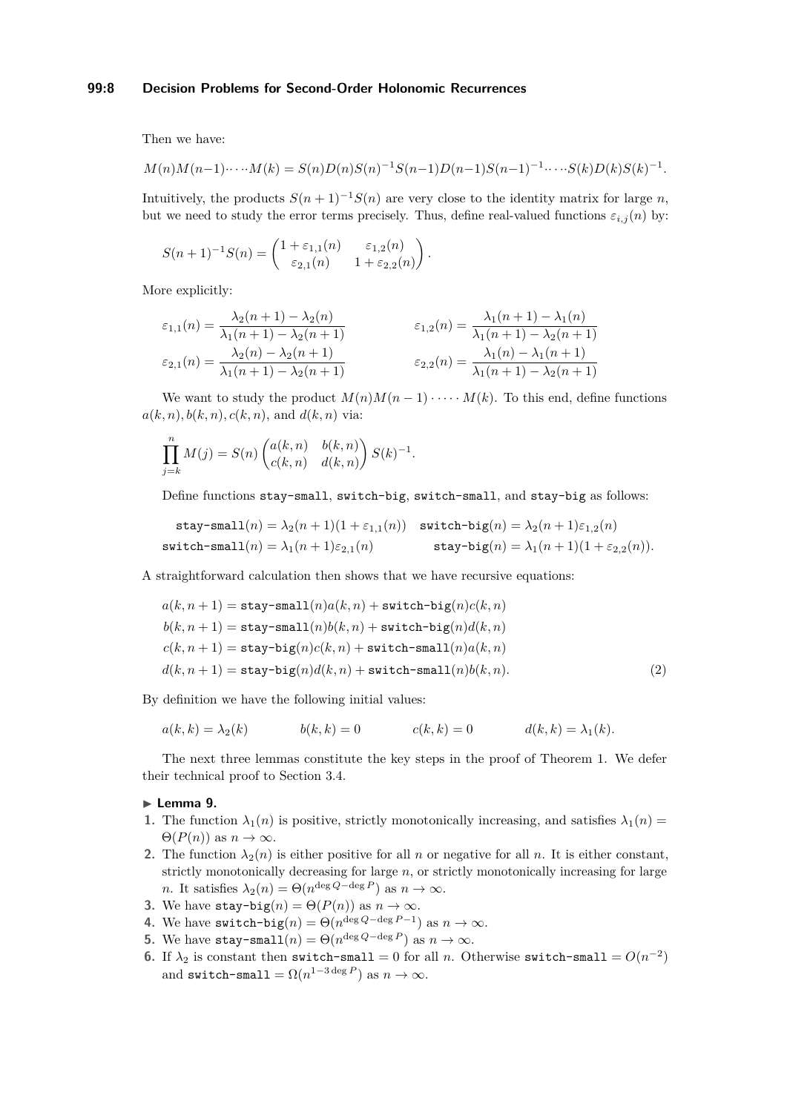## **99:8 Decision Problems for Second-Order Holonomic Recurrences**

Then we have:

$$
M(n)M(n-1)\cdots M(k) = S(n)D(n)S(n)^{-1}S(n-1)D(n-1)S(n-1)^{-1}\cdots S(k)D(k)S(k)^{-1}.
$$

Intuitively, the products  $S(n+1)^{-1}S(n)$  are very close to the identity matrix for large *n*, but we need to study the error terms precisely. Thus, define real-valued functions  $\varepsilon_{i,j}(n)$  by:

$$
S(n+1)^{-1}S(n) = \begin{pmatrix} 1 + \varepsilon_{1,1}(n) & \varepsilon_{1,2}(n) \\ \varepsilon_{2,1}(n) & 1 + \varepsilon_{2,2}(n) \end{pmatrix}.
$$

More explicitly:

$$
\varepsilon_{1,1}(n) = \frac{\lambda_2(n+1) - \lambda_2(n)}{\lambda_1(n+1) - \lambda_2(n+1)} \qquad \varepsilon_{1,2}(n) = \frac{\lambda_1(n+1) - \lambda_1(n)}{\lambda_1(n+1) - \lambda_2(n+1)} \n\varepsilon_{2,1}(n) = \frac{\lambda_2(n) - \lambda_2(n+1)}{\lambda_1(n+1) - \lambda_2(n+1)} \qquad \varepsilon_{2,2}(n) = \frac{\lambda_1(n) - \lambda_1(n+1)}{\lambda_1(n+1) - \lambda_2(n+1)}
$$

We want to study the product  $M(n)M(n-1)\cdots M(k)$ . To this end, define functions  $a(k, n), b(k, n), c(k, n),$  and  $d(k, n)$  via:

$$
\prod_{j=k}^{n} M(j) = S(n) \begin{pmatrix} a(k,n) & b(k,n) \\ c(k,n) & d(k,n) \end{pmatrix} S(k)^{-1}.
$$

Define functions stay-small, switch-big, switch-small, and stay-big as follows:

$$
\begin{aligned} \mathtt{stay\text{-}small}(n) = \lambda_2(n+1)(1+\varepsilon_{1,1}(n)) & \hspace{0.3cm}\texttt{switch-big}(n) = \lambda_2(n+1)\varepsilon_{1,2}(n) \\ \mathtt{switch\text{-}small}(n) = \lambda_1(n+1)\varepsilon_{2,1}(n) & \hspace{0.3cm}\texttt{stay-big}(n) = \lambda_1(n+1)(1+\varepsilon_{2,2}(n)). \end{aligned}
$$

A straightforward calculation then shows that we have recursive equations:

<span id="page-7-1"></span>
$$
a(k, n + 1) = \text{stay-small}(n)a(k, n) + \text{switch-big}(n)c(k, n)
$$
  
\n
$$
b(k, n + 1) = \text{stay-small}(n)b(k, n) + \text{switch-big}(n)d(k, n)
$$
  
\n
$$
c(k, n + 1) = \text{stay-big}(n)c(k, n) + \text{switch-small}(n)a(k, n)
$$
  
\n
$$
d(k, n + 1) = \text{stay-big}(n)d(k, n) + \text{switch-small}(n)b(k, n).
$$
\n(2)

By definition we have the following initial values:

$$
a(k,k) = \lambda_2(k) \qquad b(k,k) = 0 \qquad c(k,k) = 0 \qquad d(k,k) = \lambda_1(k).
$$

The next three lemmas constitute the key steps in the proof of Theorem [1.](#page-3-0) We defer their technical proof to Section [3.4.](#page-12-0)

## <span id="page-7-2"></span>▶ **Lemma 9.**

- **1.** The function  $\lambda_1(n)$  is positive, strictly monotonically increasing, and satisfies  $\lambda_1(n)$  $\Theta(P(n))$  as  $n \to \infty$ .
- **2.** The function  $\lambda_2(n)$  is either positive for all *n* or negative for all *n*. It is either constant, strictly monotonically decreasing for large *n*, or strictly monotonically increasing for large *n*. It satisfies  $\lambda_2(n) = \Theta(n^{\deg Q - \deg P})$  as  $n \to \infty$ .
- **3.** We have  $\text{stay-big}(n) = \Theta(P(n))$  as  $n \to \infty$ .
- **4.** We have  $\text{switch-big}(n) = \Theta(n^{\deg Q \deg P 1})$  as  $n \to \infty$ .
- **5.** We have stay-small $(n) = \Theta(n^{\deg Q \deg P})$  as  $n \to \infty$ .
- <span id="page-7-0"></span>**6.** If  $\lambda_2$  is constant then switch-small = 0 for all *n*. Otherwise switch-small =  $O(n^{-2})$ and switch-small =  $\Omega(n^{1-3 \deg P})$  as  $n \to \infty$ .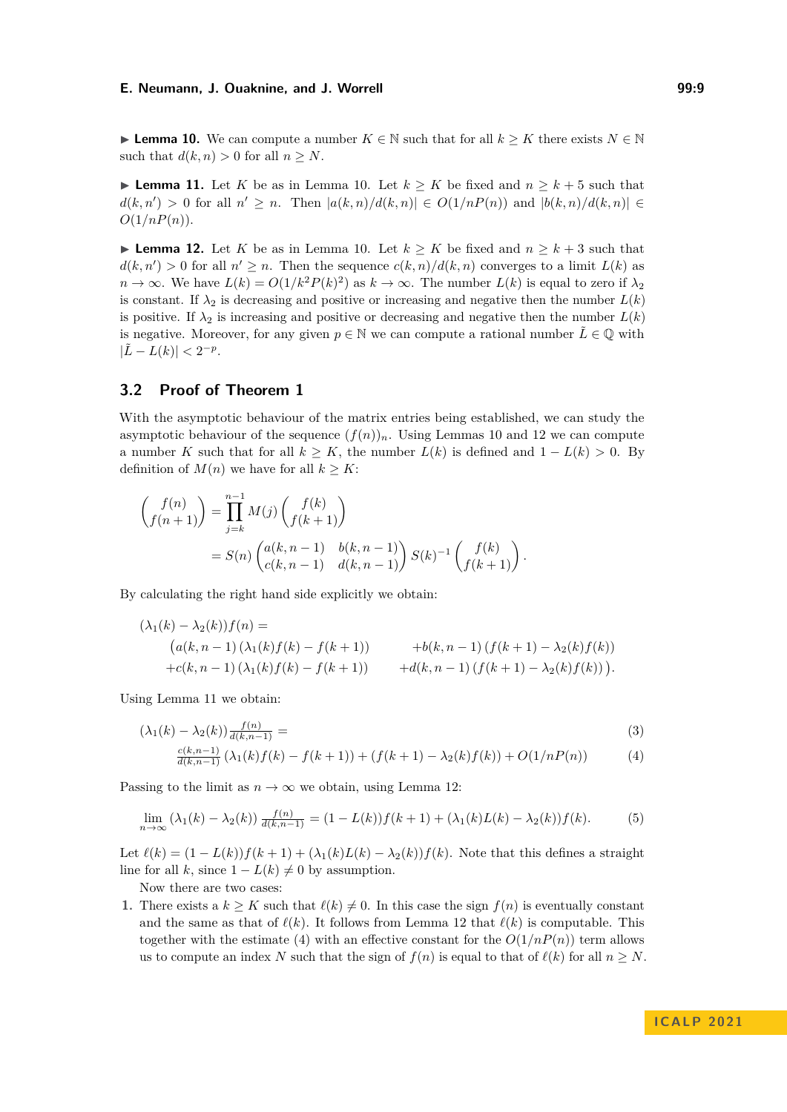▶ **Lemma 10.** We can compute a number  $K \in \mathbb{N}$  such that for all  $k \geq K$  there exists  $N \in \mathbb{N}$ such that  $d(k, n) > 0$  for all  $n \geq N$ .

<span id="page-8-1"></span>▶ **Lemma 11.** Let *K* be as in Lemma [10.](#page-7-0) Let  $k \geq K$  be fixed and  $n \geq k+5$  such that *d*(*k, n'*) > 0 for all *n'* ≥ *n*. Then  $|a(k,n)/d(k,n)|$  ∈  $O(1/nP(n))$  and  $|b(k,n)/d(k,n)|$  ∈  $O(1/nP(n)).$ 

<span id="page-8-0"></span>▶ **Lemma 12.** Let *K* be as in Lemma [10.](#page-7-0) Let  $k \geq K$  be fixed and  $n \geq k+3$  such that  $d(k, n') > 0$  for all  $n' \geq n$ . Then the sequence  $c(k, n)/d(k, n)$  converges to a limit  $L(k)$  as  $n \to \infty$ . We have  $L(k) = O(1/k^2 P(k)^2)$  as  $k \to \infty$ . The number  $L(k)$  is equal to zero if  $\lambda_2$ is constant. If  $\lambda_2$  is decreasing and positive or increasing and negative then the number  $L(k)$ is positive. If  $\lambda_2$  is increasing and positive or decreasing and negative then the number  $L(k)$ is negative. Moreover, for any given  $p \in \mathbb{N}$  we can compute a rational number  $\tilde{L} \in \mathbb{Q}$  with  $|\tilde{L} - L(k)| < 2^{-p}$ .

# **3.2 Proof of Theorem [1](#page-3-0)**

With the asymptotic behaviour of the matrix entries being established, we can study the asymptotic behaviour of the sequence  $(f(n))_n$ . Using Lemmas [10](#page-7-0) and [12](#page-8-0) we can compute a number *K* such that for all  $k \geq K$ , the number  $L(k)$  is defined and  $1 - L(k) > 0$ . By definition of  $M(n)$  we have for all  $k \geq K$ :

$$
\begin{aligned}\n\binom{f(n)}{f(n+1)} &= \prod_{j=k}^{n-1} M(j) \binom{f(k)}{f(k+1)} \\
&= S(n) \begin{pmatrix} a(k, n-1) & b(k, n-1) \\ c(k, n-1) & d(k, n-1) \end{pmatrix} S(k)^{-1} \binom{f(k)}{f(k+1)}.\n\end{aligned}
$$

By calculating the right hand side explicitly we obtain:

$$
(\lambda_1(k) - \lambda_2(k))f(n) =
$$
  
\n
$$
(a(k, n-1) (\lambda_1(k)f(k) - f(k+1)) + b(k, n-1) (f(k+1) - \lambda_2(k)f(k))
$$
  
\n
$$
+c(k, n-1) (\lambda_1(k)f(k) - f(k+1)) + d(k, n-1) (f(k+1) - \lambda_2(k)f(k))).
$$

Using Lemma [11](#page-8-1) we obtain:

<span id="page-8-2"></span>
$$
(\lambda_1(k) - \lambda_2(k))\frac{f(n)}{d(k, n-1)} =
$$
\n
$$
\frac{c(k, n-1)}{d(k, n-1)} (\lambda_1(k)f(k) - f(k+1)) + (f(k+1) - \lambda_2(k)f(k)) + O(1/nP(n))
$$
\n(4)

Passing to the limit as  $n \to \infty$  we obtain, using Lemma [12:](#page-8-0)

$$
\lim_{n \to \infty} (\lambda_1(k) - \lambda_2(k)) \frac{f(n)}{d(k, n-1)} = (1 - L(k)) f(k+1) + (\lambda_1(k)L(k) - \lambda_2(k)) f(k).
$$
 (5)

Let  $\ell(k) = (1 - L(k))f(k+1) + (\lambda_1(k)L(k) - \lambda_2(k))f(k)$ . Note that this defines a straight line for all *k*, since  $1 - L(k) \neq 0$  by assumption.

Now there are two cases:

**1.** There exists a  $k \geq K$  such that  $\ell(k) \neq 0$ . In this case the sign  $f(n)$  is eventually constant and the same as that of  $\ell(k)$ . It follows from Lemma [12](#page-8-0) that  $\ell(k)$  is computable. This together with the estimate [\(4\)](#page-8-2) with an effective constant for the  $O(1/nP(n))$  term allows us to compute an index *N* such that the sign of  $f(n)$  is equal to that of  $\ell(k)$  for all  $n \geq N$ .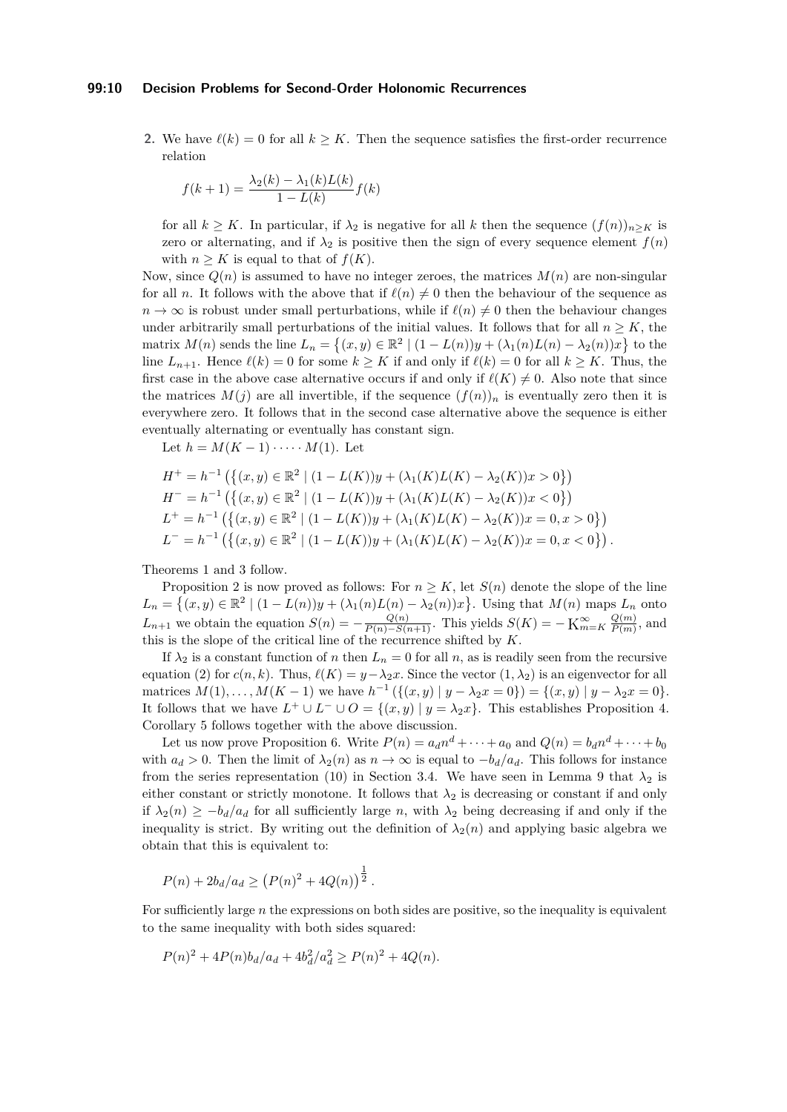#### **99:10 Decision Problems for Second-Order Holonomic Recurrences**

**2.** We have  $\ell(k) = 0$  for all  $k \geq K$ . Then the sequence satisfies the first-order recurrence relation

$$
f(k+1) = \frac{\lambda_2(k) - \lambda_1(k)L(k)}{1 - L(k)}f(k)
$$

for all  $k \geq K$ . In particular, if  $\lambda_2$  is negative for all k then the sequence  $(f(n))_{n\geq K}$  is zero or alternating, and if  $\lambda_2$  is positive then the sign of every sequence element  $f(n)$ with  $n \geq K$  is equal to that of  $f(K)$ .

Now, since  $Q(n)$  is assumed to have no integer zeroes, the matrices  $M(n)$  are non-singular for all *n*. It follows with the above that if  $\ell(n) \neq 0$  then the behaviour of the sequence as  $n \to \infty$  is robust under small perturbations, while if  $\ell(n) \neq 0$  then the behaviour changes under arbitrarily small perturbations of the initial values. It follows that for all  $n \geq K$ , the matrix  $M(n)$  sends the line  $L_n = \{(x, y) \in \mathbb{R}^2 \mid (1 - L(n))y + (\lambda_1(n)L(n) - \lambda_2(n))x\}$  to the line  $L_{n+1}$ . Hence  $\ell(k) = 0$  for some  $k \geq K$  if and only if  $\ell(k) = 0$  for all  $k \geq K$ . Thus, the first case in the above case alternative occurs if and only if  $\ell(K) \neq 0$ . Also note that since the matrices  $M(j)$  are all invertible, if the sequence  $(f(n))_n$  is eventually zero then it is everywhere zero. It follows that in the second case alternative above the sequence is either eventually alternating or eventually has constant sign.

Let  $h = M(K-1) \cdot \cdots \cdot M(1)$ . Let

$$
H^+ = h^{-1} (\{(x, y) \in \mathbb{R}^2 \mid (1 - L(K))y + (\lambda_1(K)L(K) - \lambda_2(K))x > 0\})
$$
  
\n
$$
H^- = h^{-1} (\{(x, y) \in \mathbb{R}^2 \mid (1 - L(K))y + (\lambda_1(K)L(K) - \lambda_2(K))x < 0\})
$$
  
\n
$$
L^+ = h^{-1} (\{(x, y) \in \mathbb{R}^2 \mid (1 - L(K))y + (\lambda_1(K)L(K) - \lambda_2(K))x = 0, x > 0\})
$$
  
\n
$$
L^- = h^{-1} (\{(x, y) \in \mathbb{R}^2 \mid (1 - L(K))y + (\lambda_1(K)L(K) - \lambda_2(K))x = 0, x < 0\}).
$$

Theorems [1](#page-3-0) and [3](#page-4-0) follow.

Proposition [2](#page-3-1) is now proved as follows: For  $n \geq K$ , let  $S(n)$  denote the slope of the line  $L_n = \{(x, y) \in \mathbb{R}^2 \mid (1 - L(n))y + (\lambda_1(n)L(n) - \lambda_2(n))x\}$ . Using that  $M(n)$  maps  $L_n$  onto *L*<sub>*n*+1</sub> we obtain the equation  $S(n) = -\frac{Q(n)}{P(n) - S(n+1)}$ . This yields  $S(K) = -K_{m=K}^{\infty} \frac{Q(m)}{P(m)}$  $\frac{Q(m)}{P(m)}$ , and this is the slope of the critical line of the recurrence shifted by *K*.

If  $\lambda_2$  is a constant function of *n* then  $L_n = 0$  for all *n*, as is readily seen from the recursive equation [\(2\)](#page-7-1) for  $c(n, k)$ . Thus,  $\ell(K) = y - \lambda_2 x$ . Since the vector  $(1, \lambda_2)$  is an eigenvector for all matrices  $M(1), \ldots, M(K-1)$  we have  $h^{-1}(\{(x, y) | y - \lambda_2 x = 0\}) = \{(x, y) | y - \lambda_2 x = 0\}.$ It follows that we have  $L^+ \cup L^- \cup O = \{(x, y) | y = \lambda_2 x\}$ . This establishes Proposition [4.](#page-4-1) Corollary [5](#page-4-2) follows together with the above discussion.

Let us now prove Proposition [6.](#page-5-0) Write  $P(n) = a_d n^d + \cdots + a_0$  and  $Q(n) = b_d n^d + \cdots + b_0$ with  $a_d > 0$ . Then the limit of  $\lambda_2(n)$  as  $n \to \infty$  is equal to  $-b_d/a_d$ . This follows for instance from the series representation [\(10\)](#page-13-0) in Section [3.4.](#page-12-0) We have seen in Lemma [9](#page-7-2) that  $\lambda_2$  is either constant or strictly monotone. It follows that  $\lambda_2$  is decreasing or constant if and only if  $\lambda_2(n) \geq -b_d/a_d$  for all sufficiently large *n*, with  $\lambda_2$  being decreasing if and only if the inequality is strict. By writing out the definition of  $\lambda_2(n)$  and applying basic algebra we obtain that this is equivalent to:

$$
P(n) + 2b_d/a_d \ge (P(n)^2 + 4Q(n))^{\frac{1}{2}}.
$$

For sufficiently large *n* the expressions on both sides are positive, so the inequality is equivalent to the same inequality with both sides squared:

$$
P(n)^{2} + 4P(n)b_{d}/a_{d} + 4b_{d}^{2}/a_{d}^{2} \ge P(n)^{2} + 4Q(n).
$$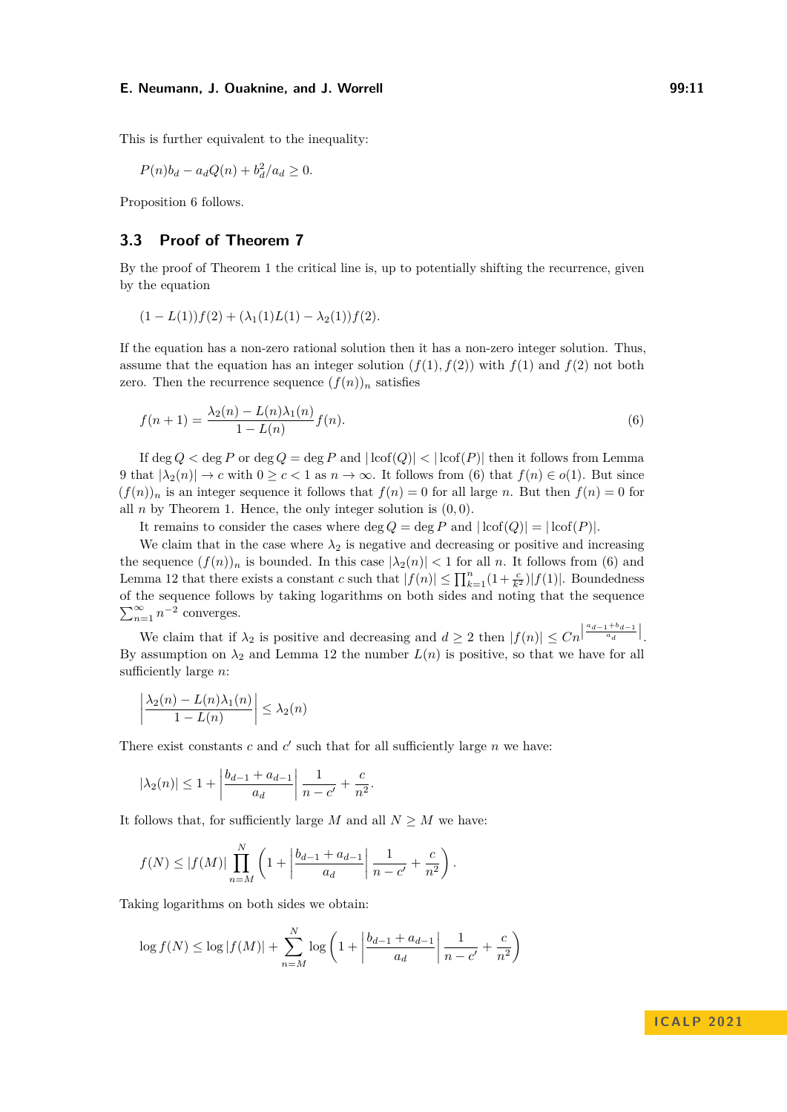This is further equivalent to the inequality:

$$
P(n)b_d - a_dQ(n) + b_d^2/a_d \ge 0.
$$

Proposition [6](#page-5-0) follows.

# **3.3 Proof of Theorem [7](#page-5-1)**

By the proof of Theorem [1](#page-3-0) the critical line is, up to potentially shifting the recurrence, given by the equation

$$
(1 - L(1))f(2) + (\lambda_1(1)L(1) - \lambda_2(1))f(2).
$$

If the equation has a non-zero rational solution then it has a non-zero integer solution. Thus, assume that the equation has an integer solution  $(f(1), f(2))$  with  $f(1)$  and  $f(2)$  not both zero. Then the recurrence sequence  $(f(n))_n$  satisfies

<span id="page-10-0"></span>
$$
f(n+1) = \frac{\lambda_2(n) - L(n)\lambda_1(n)}{1 - L(n)} f(n).
$$
\n(6)

If  $\deg Q < \deg P$  or  $\deg Q = \deg P$  and  $|\log(P)| < |\log(P)|$  then it follows from Lemma [9](#page-7-2) that  $|\lambda_2(n)| \to c$  with  $0 \geq c < 1$  as  $n \to \infty$ . It follows from [\(6\)](#page-10-0) that  $f(n) \in o(1)$ . But since  $(f(n))_n$  is an integer sequence it follows that  $f(n) = 0$  for all large *n*. But then  $f(n) = 0$  for all *n* by Theorem [1.](#page-3-0) Hence, the only integer solution is  $(0,0)$ .

It remains to consider the cases where  $\deg Q = \deg P$  and  $|\text{lcof}(Q)| = |\text{lcof}(P)|$ .

We claim that in the case where  $\lambda_2$  is negative and decreasing or positive and increasing the sequence  $(f(n))_n$  is bounded. In this case  $|\lambda_2(n)| < 1$  for all *n*. It follows from [\(6\)](#page-10-0) and Lemma [12](#page-8-0) that there exists a constant *c* such that  $|f(n)| \le \prod_{k=1}^{n} (1 + \frac{c}{k^2}) |f(1)|$ . Boundedness of the sequence follows by taking logarithms on both sides and noting that the sequence  $\sum_{n=1}^{\infty} n^{-2}$  converges.

We claim that if  $\lambda_2$  is positive and decreasing and  $d \geq 2$  then  $|f(n)| \leq C_n \left| \frac{a_{d-1} + b_{d-1}}{a_d} \right|$ . By assumption on  $\lambda_2$  and Lemma [12](#page-8-0) the number  $L(n)$  is positive, so that we have for all sufficiently large *n*:

$$
\left|\frac{\lambda_2(n) - L(n)\lambda_1(n)}{1 - L(n)}\right| \leq \lambda_2(n)
$$

There exist constants  $c$  and  $c'$  such that for all sufficiently large  $n$  we have:

$$
|\lambda_2(n)| \le 1 + \left| \frac{b_{d-1} + a_{d-1}}{a_d} \right| \frac{1}{n - c'} + \frac{c}{n^2}.
$$

It follows that, for sufficiently large *M* and all  $N \geq M$  we have:

$$
f(N) \le |f(M)| \prod_{n=M}^{N} \left( 1 + \left| \frac{b_{d-1} + a_{d-1}}{a_d} \right| \frac{1}{n-c'} + \frac{c}{n^2} \right).
$$

Taking logarithms on both sides we obtain:

$$
\log f(N) \le \log |f(M)| + \sum_{n=M}^{N} \log \left( 1 + \left| \frac{b_{d-1} + a_{d-1}}{a_d} \right| \frac{1}{n-c'} + \frac{c}{n^2} \right)
$$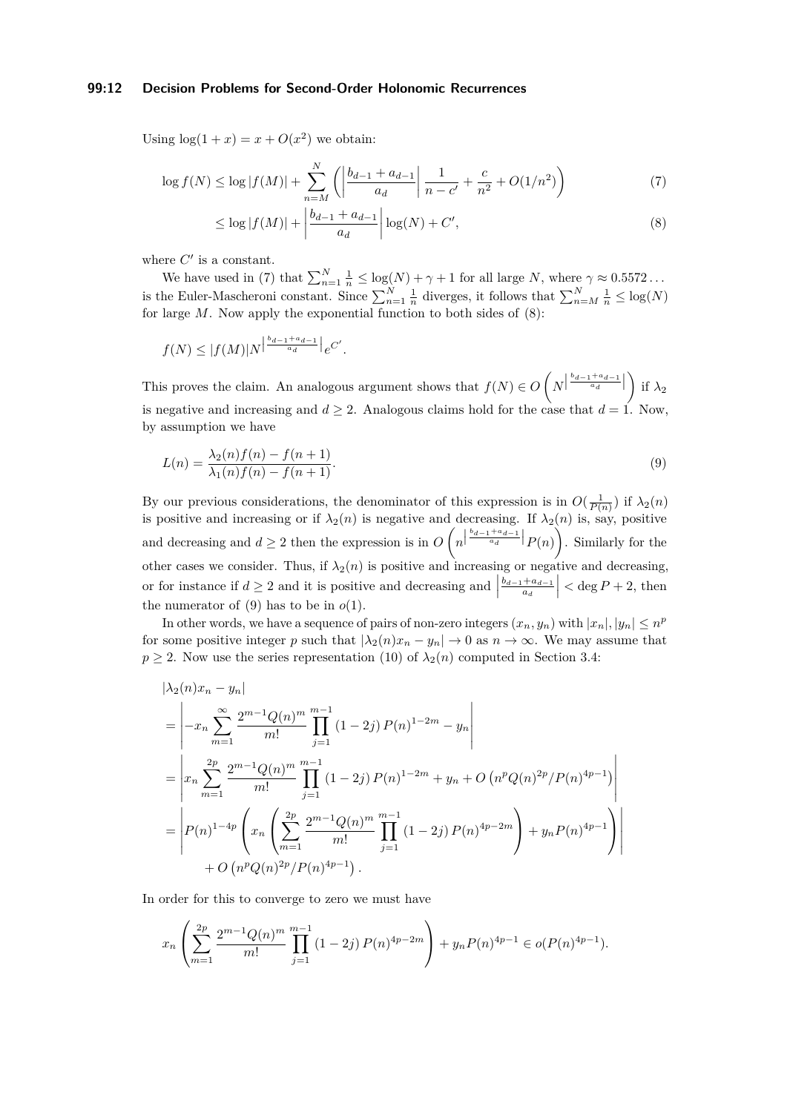## **99:12 Decision Problems for Second-Order Holonomic Recurrences**

Using  $\log(1+x) = x + O(x^2)$  we obtain:

$$
\log f(N) \le \log |f(M)| + \sum_{n=M}^{N} \left( \left| \frac{b_{d-1} + a_{d-1}}{a_d} \right| \frac{1}{n-c'} + \frac{c}{n^2} + O(1/n^2) \right) \tag{7}
$$

<span id="page-11-1"></span><span id="page-11-0"></span>
$$
\leq \log|f(M)| + \left| \frac{b_{d-1} + a_{d-1}}{a_d} \right| \log(N) + C', \tag{8}
$$

where  $C'$  is a constant.

We have used in [\(7\)](#page-11-0) that  $\sum_{n=1}^{N} \frac{1}{n} \leq \log(N) + \gamma + 1$  for all large *N*, where  $\gamma \approx 0.5572...$ is the Euler-Mascheroni constant. Since  $\sum_{n=1}^{N} \frac{1}{n}$  diverges, it follows that  $\sum_{n=M}^{N} \frac{1}{n} \leq \log(N)$ for large *M*. Now apply the exponential function to both sides of [\(8\)](#page-11-1):

$$
f(N) \leq |f(M)|N^{\left|\frac{b_{d-1}+a_{d-1}}{a_d}\right|}e^{C'}.
$$

This proves the claim. An analogous argument shows that  $f(N) \in O\left(N^{\left\lfloor \frac{b_{d-1}+a_{d-1}}{a_d} \right\rfloor} \right)$  if  $\lambda_2$ is negative and increasing and  $d \geq 2$ . Analogous claims hold for the case that  $d = 1$ . Now, by assumption we have

<span id="page-11-2"></span>
$$
L(n) = \frac{\lambda_2(n)f(n) - f(n+1)}{\lambda_1(n)f(n) - f(n+1)}.
$$
\n(9)

By our previous considerations, the denominator of this expression is in  $O(\frac{1}{P(n)})$  if  $\lambda_2(n)$ is positive and increasing or if  $\lambda_2(n)$  is negative and decreasing. If  $\lambda_2(n)$  is, say, positive and decreasing and  $d \geq 2$  then the expression is in  $O(n^{\left\lfloor \frac{b_{d-1}+a_{d-1}}{a_d} \right\rfloor} P(n))$ . Similarly for the other cases we consider. Thus, if  $\lambda_2(n)$  is positive and increasing or negative and decreasing, or for instance if  $d \geq 2$  and it is positive and decreasing and *bd*−1+*ad*−<sup>1</sup>  $\left| \frac{a_{d-1}}{a_d} \right|$  < deg *P* + 2, then the numerator of  $(9)$  has to be in  $o(1)$ .

In other words, we have a sequence of pairs of non-zero integers  $(x_n, y_n)$  with  $|x_n|, |y_n| \leq n^p$ for some positive integer *p* such that  $|\lambda_2(n)x_n - y_n| \to 0$  as  $n \to \infty$ . We may assume that  $p \geq 2$ . Now use the series representation [\(10\)](#page-13-0) of  $\lambda_2(n)$  computed in Section [3.4:](#page-12-0)

$$
\begin{split}\n&|\lambda_2(n)x_n - y_n| \\
&= \left| -x_n \sum_{m=1}^{\infty} \frac{2^{m-1} Q(n)^m}{m!} \prod_{j=1}^{m-1} (1-2j) P(n)^{1-2m} - y_n \right| \\
&= \left| x_n \sum_{m=1}^{2p} \frac{2^{m-1} Q(n)^m}{m!} \prod_{j=1}^{m-1} (1-2j) P(n)^{1-2m} + y_n + O\left( n^p Q(n)^{2p} / P(n)^{4p-1} \right) \right| \\
&= \left| P(n)^{1-4p} \left( x_n \left( \sum_{m=1}^{2p} \frac{2^{m-1} Q(n)^m}{m!} \prod_{j=1}^{m-1} (1-2j) P(n)^{4p-2m} \right) + y_n P(n)^{4p-1} \right) \right| \\
&+ O\left( n^p Q(n)^{2p} / P(n)^{4p-1} \right).\n\end{split}
$$

In order for this to converge to zero we must have

$$
x_n \left( \sum_{m=1}^{2p} \frac{2^{m-1} Q(n)^m}{m!} \prod_{j=1}^{m-1} (1-2j) P(n)^{4p-2m} \right) + y_n P(n)^{4p-1} \in o(P(n)^{4p-1}).
$$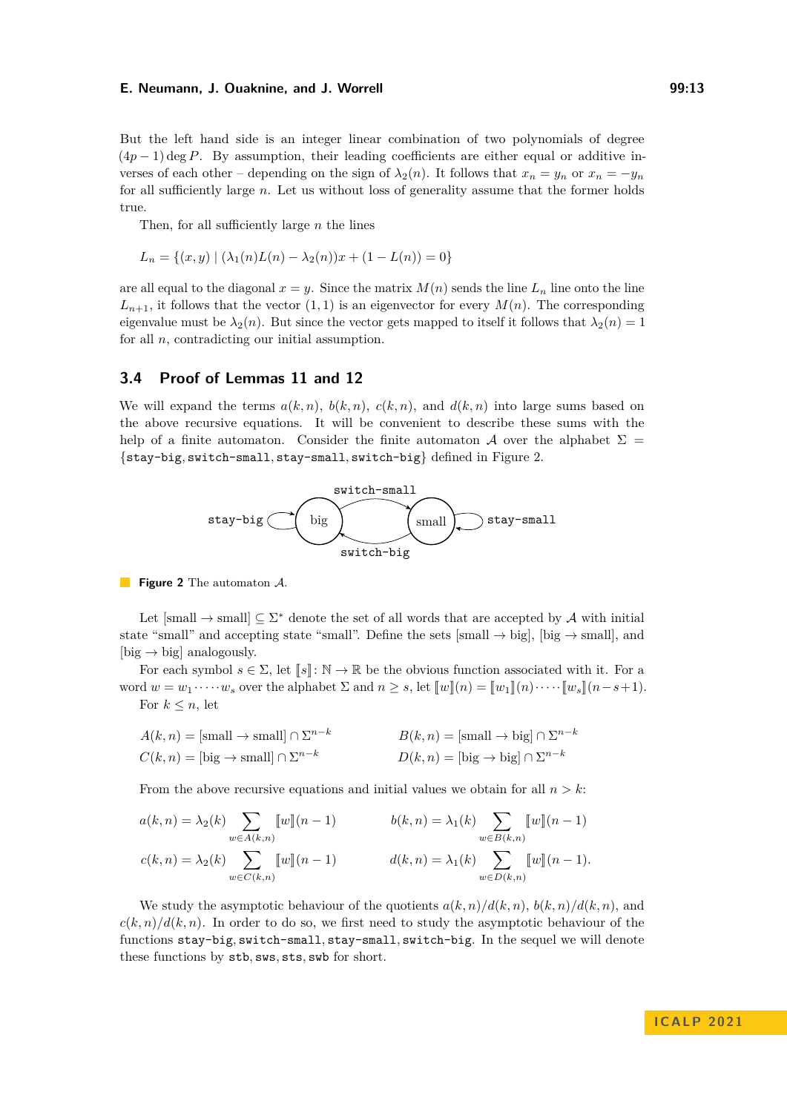But the left hand side is an integer linear combination of two polynomials of degree  $(4p-1)$  deg *P*. By assumption, their leading coefficients are either equal or additive inverses of each other – depending on the sign of  $\lambda_2(n)$ . It follows that  $x_n = y_n$  or  $x_n = -y_n$ for all sufficiently large *n*. Let us without loss of generality assume that the former holds true.

Then, for all sufficiently large *n* the lines

$$
L_n = \{(x, y) | (\lambda_1(n)L(n) - \lambda_2(n))x + (1 - L(n)) = 0\}
$$

are all equal to the diagonal  $x = y$ . Since the matrix  $M(n)$  sends the line  $L_n$  line onto the line  $L_{n+1}$ , it follows that the vector  $(1,1)$  is an eigenvector for every  $M(n)$ . The corresponding eigenvalue must be  $\lambda_2(n)$ . But since the vector gets mapped to itself it follows that  $\lambda_2(n) = 1$ for all *n*, contradicting our initial assumption.

## <span id="page-12-0"></span>**3.4 Proof of Lemmas [11](#page-8-1) and [12](#page-8-0)**

We will expand the terms  $a(k, n)$ ,  $b(k, n)$ ,  $c(k, n)$ , and  $d(k, n)$  into large sums based on the above recursive equations. It will be convenient to describe these sums with the help of a finite automaton. Consider the finite automaton A over the alphabet  $\Sigma =$ {stay-big*,* switch-small*,* stay-small*,* switch-big} defined in Figure [2.](#page-12-1)

<span id="page-12-1"></span>

**Figure 2** The automaton A.

Let  $[\text{small} \rightarrow \text{small}] \subseteq \Sigma^*$  denote the set of all words that are accepted by A with initial state "small" and accepting state "small". Define the sets [small  $\rightarrow$  big], [big  $\rightarrow$  small], and [big  $\rightarrow$  big] analogously.

For each symbol  $s \in \Sigma$ , let  $\llbracket s \rrbracket$ :  $\mathbb{N} \to \mathbb{R}$  be the obvious function associated with it. For a word  $w = w_1 \cdots w_s$  over the alphabet  $\Sigma$  and  $n > s$ , let  $[\![w]\!](n) = [\![w_1]\!](n) \cdots [\![w_s]\!](n-s+1)$ .

For  $k \leq n$ , let

$$
A(k, n) = \text{[small} \to \text{small}] \cap \Sigma^{n-k}
$$
  
\n
$$
B(k, n) = \text{[small} \to \text{big}] \cap \Sigma^{n-k}
$$
  
\n
$$
D(k, n) = \text{[big} \to \text{big}] \cap \Sigma^{n-k}
$$
  
\n
$$
D(k, n) = \text{[big} \to \text{big}] \cap \Sigma^{n-k}
$$

From the above recursive equations and initial values we obtain for all  $n > k$ :

$$
a(k,n) = \lambda_2(k) \sum_{w \in A(k,n)} [w](n-1) \qquad b(k,n) = \lambda_1(k) \sum_{w \in B(k,n)} [w](n-1)
$$
  

$$
c(k,n) = \lambda_2(k) \sum_{w \in C(k,n)} [w](n-1) \qquad d(k,n) = \lambda_1(k) \sum_{w \in D(k,n)} [w](n-1).
$$

We study the asymptotic behaviour of the quotients  $a(k, n)/d(k, n)$ ,  $b(k, n)/d(k, n)$ , and  $c(k,n)/d(k,n)$ . In order to do so, we first need to study the asymptotic behaviour of the functions stay-big*,* switch-small*,* stay-small*,* switch-big. In the sequel we will denote these functions by stb*,* sws*,* sts*,* swb for short.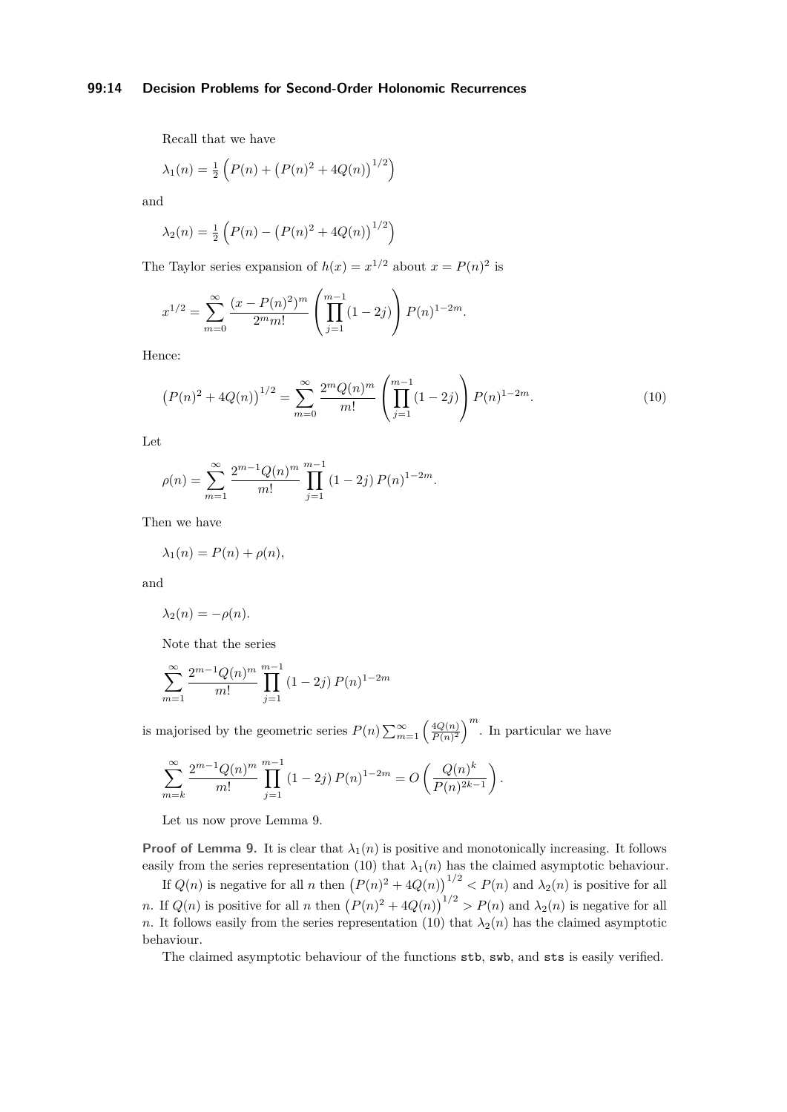## **99:14 Decision Problems for Second-Order Holonomic Recurrences**

Recall that we have

$$
\lambda_1(n) = \frac{1}{2} \left( P(n) + \left( P(n)^2 + 4Q(n) \right)^{1/2} \right)
$$

and

$$
\lambda_2(n) = \frac{1}{2} \left( P(n) - \left( P(n)^2 + 4Q(n) \right)^{1/2} \right)
$$

The Taylor series expansion of  $h(x) = x^{1/2}$  about  $x = P(n)^2$  is

$$
x^{1/2} = \sum_{m=0}^{\infty} \frac{(x - P(n)^2)^m}{2^m m!} \left( \prod_{j=1}^{m-1} (1 - 2j) \right) P(n)^{1 - 2m}.
$$

Hence:

<span id="page-13-0"></span>
$$
\left(P(n)^2 + 4Q(n)\right)^{1/2} = \sum_{m=0}^{\infty} \frac{2^m Q(n)^m}{m!} \left(\prod_{j=1}^{m-1} (1-2j)\right) P(n)^{1-2m}.\tag{10}
$$

Let

$$
\rho(n) = \sum_{m=1}^{\infty} \frac{2^{m-1} Q(n)^m}{m!} \prod_{j=1}^{m-1} (1 - 2j) P(n)^{1-2m}.
$$

Then we have

$$
\lambda_1(n) = P(n) + \rho(n),
$$

and

$$
\lambda_2(n) = -\rho(n).
$$

Note that the series

$$
\sum_{m=1}^{\infty} \frac{2^{m-1} Q(n)^m}{m!} \prod_{j=1}^{m-1} (1-2j) P(n)^{1-2m}
$$

is majorised by the geometric series  $P(n) \sum_{m=1}^{\infty} \left( \frac{4Q(n)}{P(n)^2} \right)$  $\left(\frac{4Q(n)}{P(n)^2}\right)^m$ . In particular we have

$$
\sum_{m=k}^{\infty} \frac{2^{m-1} Q(n)^m}{m!} \prod_{j=1}^{m-1} (1-2j) P(n)^{1-2m} = O\left(\frac{Q(n)^k}{P(n)^{2k-1}}\right).
$$

Let us now prove Lemma [9.](#page-7-2)

**Proof of Lemma [9.](#page-7-2)** It is clear that  $\lambda_1(n)$  is positive and monotonically increasing. It follows easily from the series representation [\(10\)](#page-13-0) that  $\lambda_1(n)$  has the claimed asymptotic behaviour.

If  $Q(n)$  is negative for all *n* then  $(P(n)^2 + 4Q(n))^{1/2} < P(n)$  and  $\lambda_2(n)$  is positive for all *n*. If  $Q(n)$  is positive for all *n* then  $(P(n)^{2} + 4Q(n))^{1/2} > P(n)$  and  $\lambda_{2}(n)$  is negative for all *n*. It follows easily from the series representation [\(10\)](#page-13-0) that  $\lambda_2(n)$  has the claimed asymptotic behaviour.

The claimed asymptotic behaviour of the functions stb, swb, and sts is easily verified.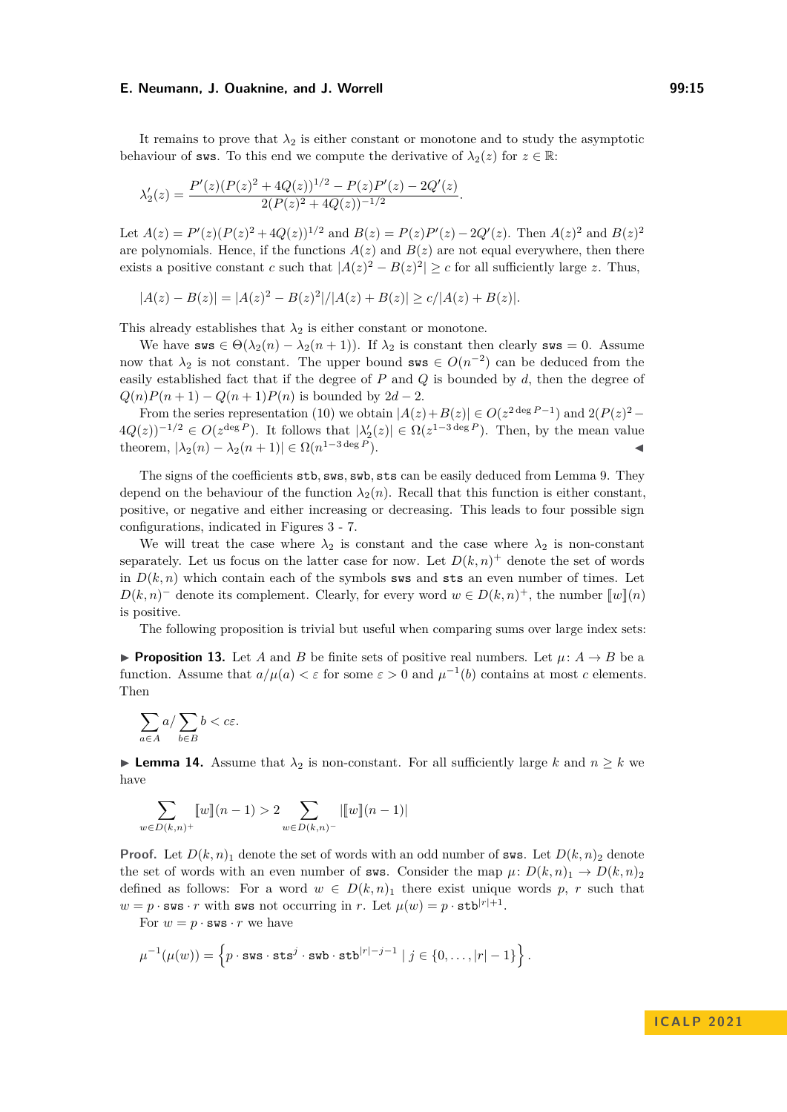It remains to prove that  $\lambda_2$  is either constant or monotone and to study the asymptotic behaviour of sws. To this end we compute the derivative of  $\lambda_2(z)$  for  $z \in \mathbb{R}$ :

$$
\lambda_2'(z) = \frac{P'(z)(P(z)^2 + 4Q(z))^{1/2} - P(z)P'(z) - 2Q'(z)}{2(P(z)^2 + 4Q(z))^{-1/2}}.
$$

Let  $A(z) = P'(z)(P(z)^{2} + 4Q(z))^{1/2}$  and  $B(z) = P(z)P'(z) - 2Q'(z)$ . Then  $A(z)^{2}$  and  $B(z)^{2}$ are polynomials. Hence, if the functions  $A(z)$  and  $B(z)$  are not equal everywhere, then there exists a positive constant *c* such that  $|A(z)^2 - B(z)^2| \ge c$  for all sufficiently large *z*. Thus,

 $|A(z) - B(z)| = |A(z)^2 - B(z)^2|/|A(z) + B(z)| \ge c/|A(z) + B(z)|.$ 

This already establishes that  $\lambda_2$  is either constant or monotone.

We have sws  $\in \Theta(\lambda_2(n)-\lambda_2(n+1))$ . If  $\lambda_2$  is constant then clearly sws = 0. Assume now that  $\lambda_2$  is not constant. The upper bound sws  $\in O(n^{-2})$  can be deduced from the easily established fact that if the degree of *P* and *Q* is bounded by *d*, then the degree of  $Q(n)P(n+1) - Q(n+1)P(n)$  is bounded by 2*d* − 2.

From the series representation [\(10\)](#page-13-0) we obtain  $|A(z)+B(z)| \in O(z^{2 \deg P-1})$  and  $2(P(z)^{2}-1)$  $4Q(z)$ <sup>-1/2</sup> ∈  $O(z^{\deg P})$ . It follows that  $|\lambda_2'(z)|$  ∈  $\Omega(z^{1-3 \deg P})$ . Then, by the mean value theorem,  $|\lambda_2(n) - \lambda_2(n+1)| \in \Omega(n^{1-3 \deg P})$ .

The signs of the coefficients stb*,* sws*,* swb*,* sts can be easily deduced from Lemma [9.](#page-7-2) They depend on the behaviour of the function  $\lambda_2(n)$ . Recall that this function is either constant, positive, or negative and either increasing or decreasing. This leads to four possible sign configurations, indicated in Figures [3](#page-15-0) - [7.](#page-15-0)

We will treat the case where  $\lambda_2$  is constant and the case where  $\lambda_2$  is non-constant separately. Let us focus on the latter case for now. Let  $D(k,n)^+$  denote the set of words in  $D(k, n)$  which contain each of the symbols sws and sts an even number of times. Let  $D(k, n)$ <sup>–</sup> denote its complement. Clearly, for every word  $w \in D(k, n)^+$ , the number  $[\![w]\!](n)$ is positive.

The following proposition is trivial but useful when comparing sums over large index sets:

<span id="page-14-1"></span>**• Proposition 13.** Let *A* and *B* be finite sets of positive real numbers. Let  $\mu$ :  $A \rightarrow B$  be a function. Assume that  $a/\mu(a) < \varepsilon$  for some  $\varepsilon > 0$  and  $\mu^{-1}(b)$  contains at most *c* elements. Then

$$
\sum_{a\in A}a/\sum_{b\in B}b < c\varepsilon.
$$

<span id="page-14-0"></span>**► Lemma 14.** Assume that  $\lambda_2$  is non-constant. For all sufficiently large *k* and  $n \geq k$  we have

$$
\sum_{w \in D(k,n)^+} \llbracket w \rrbracket(n-1) > 2 \sum_{w \in D(k,n)^-} |\llbracket w \rrbracket(n-1)|
$$

**Proof.** Let  $D(k, n)$ <sub>1</sub> denote the set of words with an odd number of sws. Let  $D(k, n)$ <sub>2</sub> denote the set of words with an even number of sws. Consider the map  $\mu: D(k,n)_1 \to D(k,n)_2$ defined as follows: For a word  $w \in D(k,n)$  there exist unique words p, r such that  $w = p \cdot \texttt{sws} \cdot r$  with sws not occurring in *r*. Let  $\mu(w) = p \cdot \texttt{stb}|r|+1$ .

For  $w = p \cdot \textbf{s} \cdot r$  we have

$$
\mu^{-1}(\mu(w)) = \left\{ p \cdot \mathtt{sws} \cdot \mathtt{sts}^j \cdot \mathtt{sub} \cdot \mathtt{stb}^{|r| - j - 1} \mid j \in \{0, \dots, |r| - 1\} \right\}.
$$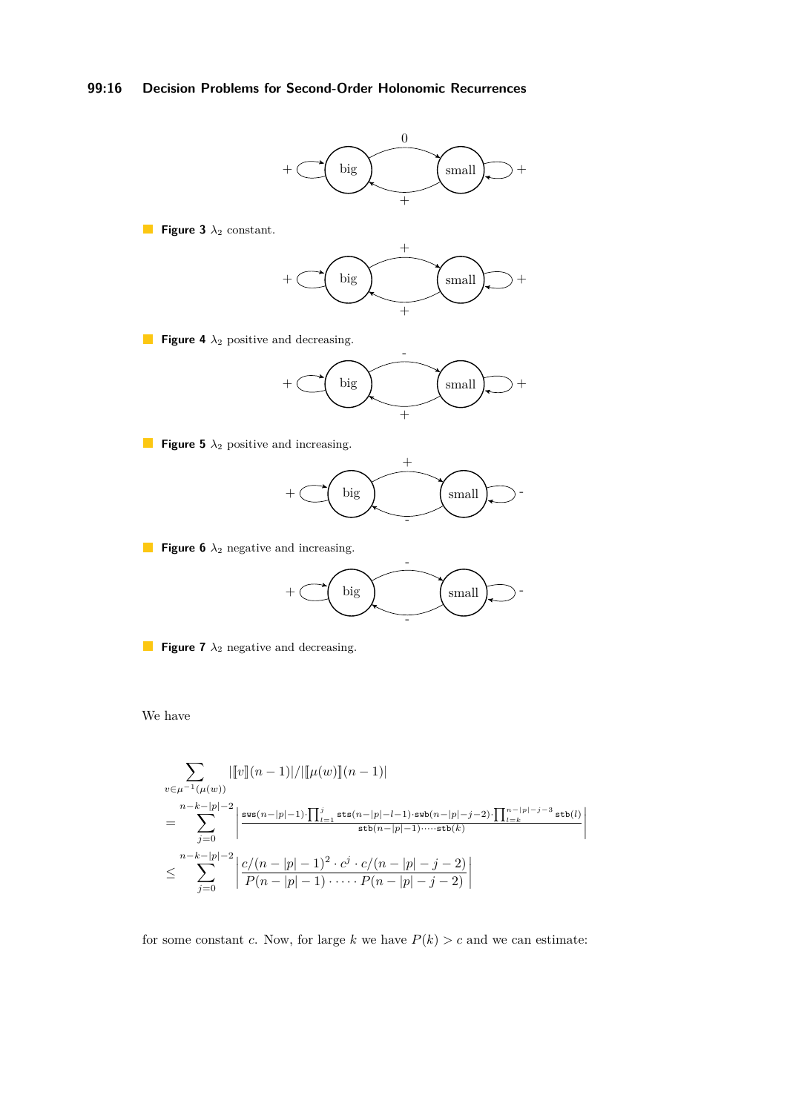# **99:16 Decision Problems for Second-Order Holonomic Recurrences**

<span id="page-15-0"></span>

**Figure 6**  $\lambda_2$  negative and increasing.



**Figure 7** *λ*<sup>2</sup> negative and decreasing.

We have

$$
\sum_{v \in \mu^{-1}(\mu(w))} |[v](n-1)| / |[\mu(w)](n-1)|
$$
\n
$$
= \sum_{j=0}^{n-k-|p|-2} \left| \frac{\mathrm{sw}(n-|p|-1) \cdot \prod_{l=1}^{j} \mathrm{sts}(n-|p|-l-1) \cdot \mathrm{sw}(n-|p|-j-2) \cdot \prod_{l=k}^{n-|p|-j-3} \mathrm{sts}(l)}{\mathrm{sts}(n-|p|-1) \cdot \cdots \mathrm{sts}(k)}} \right|
$$
\n
$$
\leq \sum_{j=0}^{n-k-|p|-2} \left| \frac{c/(n-|p|-1)^2 \cdot c^j \cdot c/(n-|p|-j-2)}{P(n-|p|-1) \cdot \cdots P(n-|p|-j-2)} \right|
$$

for some constant *c*. Now, for large *k* we have  $P(k) > c$  and we can estimate: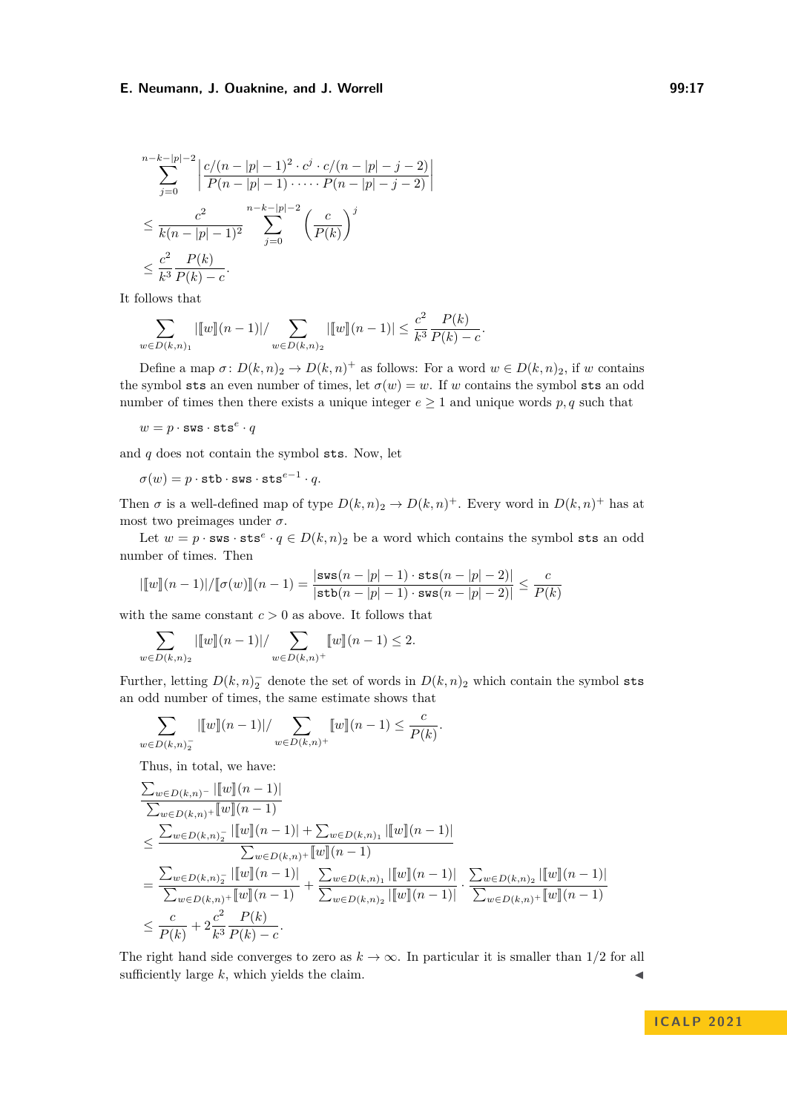$$
\sum_{j=0}^{n-k-|p|-2} \left| \frac{c/(n-|p|-1)^2 \cdot c^j \cdot c/(n-|p|-j-2)}{P(n-|p|-1) \cdot \dots \cdot P(n-|p|-j-2)} \right|
$$
  

$$
\leq \frac{c^2}{k(n-|p|-1)^2} \sum_{j=0}^{n-k-|p|-2} \left(\frac{c}{P(k)}\right)^j
$$
  

$$
\leq \frac{c^2}{k^3} \frac{P(k)}{P(k)-c}.
$$

It follows that

$$
\sum_{w \in D(k,n)_1} \left| [w](n-1) \right| / \sum_{w \in D(k,n)_2} \left| [w](n-1) \right| \leq \frac{c^2}{k^3} \frac{P(k)}{P(k)-c}.
$$

Define a map  $\sigma: D(k,n)_2 \to D(k,n)^+$  as follows: For a word  $w \in D(k,n)_2$ , if *w* contains the symbol sts an even number of times, let  $\sigma(w) = w$ . If *w* contains the symbol sts an odd number of times then there exists a unique integer  $e \geq 1$  and unique words  $p, q$  such that

 $w = p \cdot \texttt{sws} \cdot \texttt{sts}^e \cdot q$ 

and *q* does not contain the symbol sts. Now, let

 $\sigma(w) = p \cdot \mathtt{stb} \cdot \mathtt{sws} \cdot \mathtt{sts}^{e-1} \cdot q.$ 

Then  $\sigma$  is a well-defined map of type  $D(k, n)_2 \to D(k, n)^+$ . Every word in  $D(k, n)^+$  has at most two preimages under  $\sigma$ .

Let  $w = p \cdot \textbf{sws} \cdot \textbf{sts}^e \cdot q \in D(k, n)_2$  be a word which contains the symbol sts an odd number of times. Then

$$
|[w](n-1)|/[(\sigma(w)][(n-1)] = \frac{|\mathbf{sws}(n-|p|-1) \cdot \mathbf{sts}(n-|p|-2)|}{|\mathbf{stb}(n-|p|-1) \cdot \mathbf{sws}(n-|p|-2)|} \le \frac{c}{P(k)}
$$

with the same constant  $c > 0$  as above. It follows that

$$
\sum_{w \in D(k,n)_2} |[w](n-1)| / \sum_{w \in D(k,n)^+} [w](n-1) \le 2.
$$

Further, letting  $D(k, n)_2$  denote the set of words in  $D(k, n)_2$  which contain the symbol sts an odd number of times, the same estimate shows that

$$
\sum_{w \in D(k,n)^{-}_{2}} |[w](n-1)| / \sum_{w \in D(k,n)^{+}} [w](n-1) \leq \frac{c}{P(k)}.
$$

Thus, in total, we have:

$$
\frac{\sum_{w \in D(k,n)} |\llbracket w \rrbracket(n-1)|}{\sum_{w \in D(k,n)+} \llbracket w \rrbracket(n-1)} \le \frac{\sum_{w \in D(k,n)+} |\llbracket w \rrbracket(n-1)|}{\sum_{w \in D(k,n)+} \llbracket w \rrbracket(n-1)} + \sum_{w \in D(k,n)+} |\llbracket w \rrbracket(n-1)|}{\sum_{w \in D(k,n)+} \llbracket w \rrbracket(n-1)} + \frac{\sum_{w \in D(k,n)} |\llbracket w \rrbracket(n-1)|}{\sum_{w \in D(k,n)+} \llbracket w \rrbracket(n-1)} + \frac{\sum_{w \in D(k,n)} |\llbracket w \rrbracket(n-1)}{\sum_{w \in D(k,n)+} \llbracket w \rrbracket(n-1)} + \frac{\sum_{w \in D(k,n)} |\llbracket w \rrbracket(n-1)}{\sum_{w \in D(k,n)+} \llbracket w \rrbracket(n-1)} \le \frac{c}{P(k)} + 2\frac{c^2}{k^3} \frac{P(k)}{P(k) - c}.
$$

The right hand side converges to zero as  $k \to \infty$ . In particular it is smaller than 1/2 for all sufficiently large  $k$ , which yields the claim.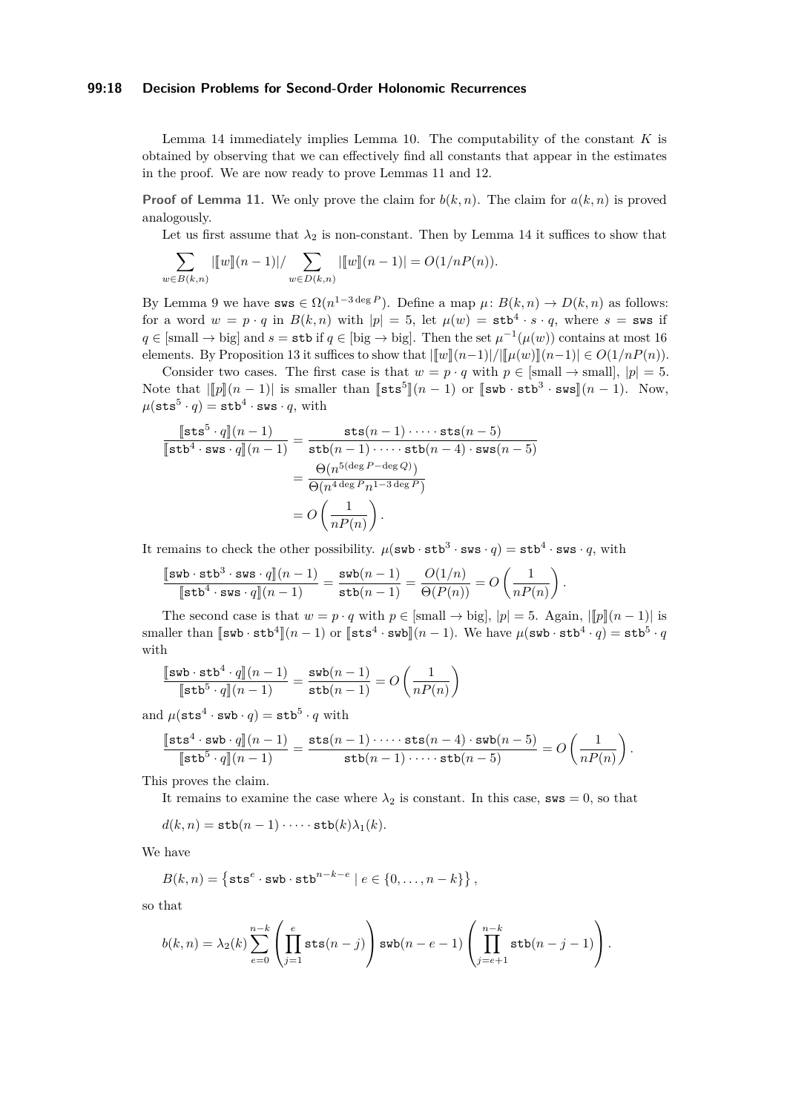## **99:18 Decision Problems for Second-Order Holonomic Recurrences**

Lemma [14](#page-14-0) immediately implies Lemma [10.](#page-7-0) The computability of the constant *K* is obtained by observing that we can effectively find all constants that appear in the estimates in the proof. We are now ready to prove Lemmas [11](#page-8-1) and [12.](#page-8-0)

**Proof of Lemma [11.](#page-8-1)** We only prove the claim for  $b(k, n)$ . The claim for  $a(k, n)$  is proved analogously.

Let us first assume that  $\lambda_2$  is non-constant. Then by Lemma [14](#page-14-0) it suffices to show that

$$
\sum_{w \in B(k,n)} |[w](n-1)| / \sum_{w \in D(k,n)} |[w](n-1)| = O(1/nP(n)).
$$

By Lemma [9](#page-7-2) we have  $\text{sws} \in \Omega(n^{1-3 \deg P})$ . Define a map  $\mu: B(k,n) \to D(k,n)$  as follows: for a word  $w = p \cdot q$  in  $B(k, n)$  with  $|p| = 5$ , let  $\mu(w) = \texttt{stb}^4 \cdot s \cdot q$ , where  $s = \texttt{sws}$  if  $q \in [\text{small} \to \text{big}]$  and  $s = \text{stb}$  if  $q \in [\text{big} \to \text{big}]$ . Then the set  $\mu^{-1}(\mu(w))$  contains at most 16 elements. By Proposition [13](#page-14-1) it suffices to show that  $\|\overline{w}\| (n-1)/|\overline{u}(w)\| (n-1)| \in O(1/nP(n)).$ 

Consider two cases. The first case is that  $w = p \cdot q$  with  $p \in [small] \rightarrow small$ ,  $|p| = 5$ . Note that  $\left\| \left[ p \right] \left[ (n-1) \right]$  is smaller than  $\left[ \mathsf{s} \mathsf{t} \mathsf{s}^5 \right] \left( (n-1) \right]$  or  $\left[ \mathsf{s} \mathsf{w} \mathsf{b} \cdot \mathsf{s} \mathsf{t} \mathsf{b}^3 \cdot \mathsf{s} \mathsf{w} \mathsf{s} \right] \left( (n-1) \right)$ . Now,  $\mu(\texttt{sts}^5 \cdot q) = \texttt{stb}^4 \cdot \texttt{sws} \cdot q \text{, with}$ 

$$
\frac{\lbrack \text{sts}^5 \cdot q \rbrack (n-1)}{\lbrack \text{stb}^4 \cdot \text{sus} \cdot q \rbrack (n-1)} = \frac{\text{sts}(n-1) \cdot \dots \cdot \text{sts}(n-5)}{\text{stb}(n-1) \cdot \dots \cdot \text{stb}(n-4) \cdot \text{sus}(n-5)}
$$

$$
= \frac{\Theta(n^{5(\text{deg }P - \text{deg }Q)})}{\Theta(n^{4 \text{deg }P} n^{1-3 \text{deg }P})}
$$

$$
= O\left(\frac{1}{nP(n)}\right).
$$

It remains to check the other possibility.  $\mu(\texttt{swb}\cdot\texttt{stb}^3\cdot\texttt{sws}\cdot q)=\texttt{stb}^4\cdot\texttt{sws}\cdot q,$  with

$$
\frac{\llbracket \texttt{sub} \cdot \texttt{stb}^3 \cdot \texttt{sws} \cdot q \rrbracket(n-1)}{\llbracket \texttt{stb}^4 \cdot \texttt{sws} \cdot q \rrbracket(n-1)} = \frac{\texttt{swb}(n-1)}{\texttt{stb}(n-1)} = \frac{O(1/n)}{\Theta(P(n))} = O\left(\frac{1}{nP(n)}\right).
$$

The second case is that  $w = p \cdot q$  with  $p \in [\text{small} \rightarrow \text{big}], |p| = 5$ . Again,  $|\llbracket p \rrbracket(n-1)|$  is smaller than  $\llbracket \textsf{swb} \cdot \textsf{stb}^4 \rrbracket(n-1)$  or  $\llbracket \textsf{sts}^4 \cdot \textsf{swb} \rrbracket(n-1)$ . We have  $\mu(\textsf{swb} \cdot \textsf{stb}^4 \cdot q) = \textsf{stb}^5 \cdot q$ with

$$
\frac{\llbracket \texttt{sub} \cdot \texttt{stb}^4 \cdot q \rrbracket (n-1)}{\llbracket \texttt{stb}^5 \cdot q \rrbracket (n-1)} = \frac{\texttt{sub}(n-1)}{\texttt{stb}(n-1)} = O\left(\frac{1}{nP(n)}\right)
$$

and  $\mu(\texttt{sts}^4 \cdot \texttt{swb} \cdot q) = \texttt{stb}^5 \cdot q$  with

$$
\frac{\lbrack \texttt{sts}^4 \cdot \texttt{sub} \cdot q \rbrack \rbrack (n-1)}{\lbrack \texttt{stb}^5 \cdot q \rbrack \rbrack (n-1)} = \frac{\texttt{sts}(n-1) \cdot \dots \cdot \texttt{sts}(n-4) \cdot \texttt{sub}(n-5)}{\texttt{stb}(n-1) \cdot \dots \cdot \texttt{stb}(n-5)} = O\left(\frac{1}{nP(n)}\right).
$$

This proves the claim.

It remains to examine the case where  $\lambda_2$  is constant. In this case, sws = 0, so that

$$
d(k,n) = \mathtt{stb}(n-1) \cdot \dots \cdot \mathtt{stb}(k) \lambda_1(k).
$$

We have

$$
B(k,n) = \left\{ \texttt{sts}^e \cdot \texttt{sub} \cdot \texttt{stb}^{n-k-e} \mid e \in \{0,\ldots,n-k\} \right\},\,
$$

so that

$$
b(k,n) = \lambda_2(k) \sum_{e=0}^{n-k} \left( \prod_{j=1}^e \text{sts}(n-j) \right) \text{sub}(n-e-1) \left( \prod_{j=e+1}^{n-k} \text{stb}(n-j-1) \right).
$$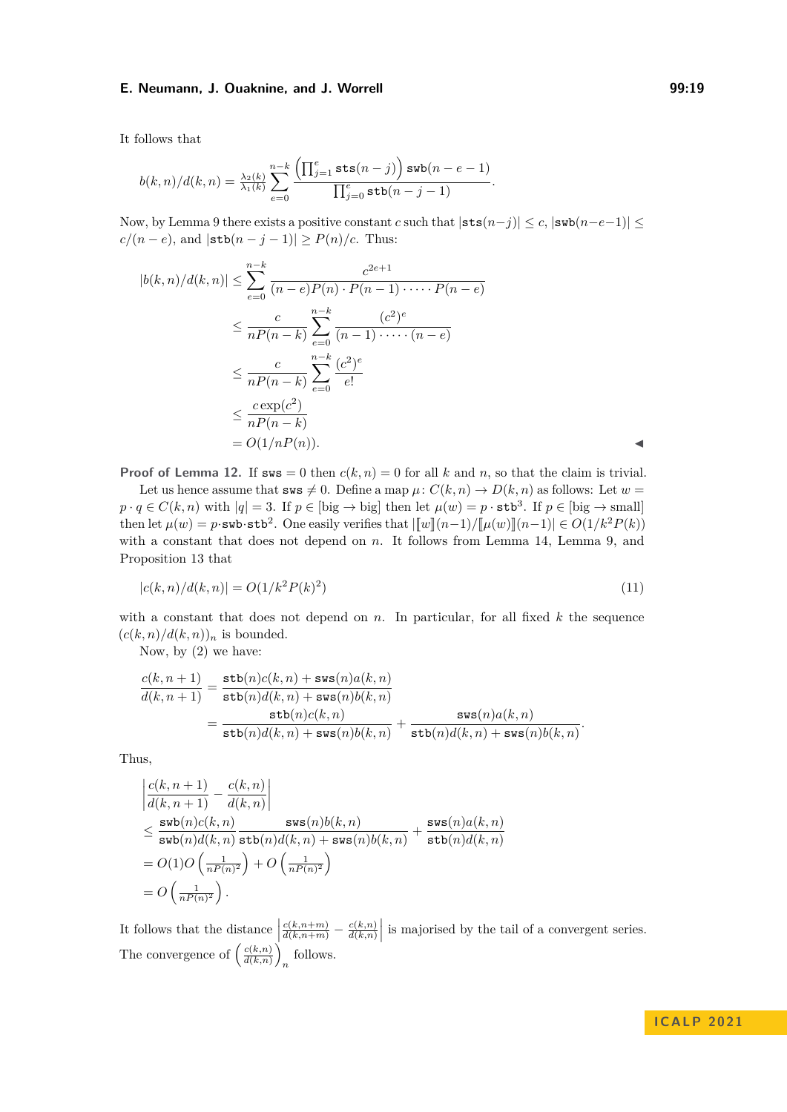It follows that

$$
b(k,n)/d(k,n) = \frac{\lambda_2(k)}{\lambda_1(k)} \sum_{e=0}^{n-k} \frac{\left(\prod_{j=1}^e \text{sts}(n-j)\right) \text{sub}(n-e-1)}{\prod_{j=0}^e \text{stb}(n-j-1)}.
$$

Now, by Lemma [9](#page-7-2) there exists a positive constant *c* such that  $|\texttt{sts}(n-j)| \leq c$ ,  $|\texttt{sub}(n-e-1)| \leq$  $c/(n-e)$ , and  $|\text{stb}(n-j-1)| \ge P(n)/c$ . Thus:

$$
|b(k,n)/d(k,n)| \leq \sum_{e=0}^{n-k} \frac{c^{2e+1}}{(n-e)P(n) \cdot P(n-1)\cdot \cdots \cdot P(n-e)}
$$
  

$$
\leq \frac{c}{nP(n-k)} \sum_{e=0}^{n-k} \frac{(c^2)^e}{(n-1)\cdot \cdots \cdot (n-e)}
$$
  

$$
\leq \frac{c}{nP(n-k)} \sum_{e=0}^{n-k} \frac{(c^2)^e}{e!}
$$
  

$$
\leq \frac{c \exp(c^2)}{nP(n-k)}
$$
  

$$
= O(1/nP(n)).
$$

**Proof of Lemma [12.](#page-8-0)** If  $\textbf{sws} = 0$  then  $c(k, n) = 0$  for all k and n, so that the claim is trivial.

Let us hence assume that  $\text{sws} \neq 0$ . Define a map  $\mu: C(k,n) \to D(k,n)$  as follows: Let  $w =$  $p \cdot q \in C(k, n)$  with  $|q| = 3$ . If  $p \in$  [big  $\rightarrow$  big] then let  $\mu(w) = p \cdot \texttt{stb}^3$ . If  $p \in$  [big  $\rightarrow$  small] then let  $\mu(w) = p \cdot \text{sub-stb}^2$ . One easily verifies that  $|\llbracket w \rrbracket (n-1)/\llbracket \mu(w) \rrbracket (n-1)| \in O(1/k^2 P(k))$ with a constant that does not depend on *n*. It follows from Lemma [14,](#page-14-0) Lemma [9,](#page-7-2) and Proposition [13](#page-14-1) that

<span id="page-18-0"></span>
$$
|c(k,n)/d(k,n)| = O(1/k^2 P(k)^2)
$$
\n(11)

with a constant that does not depend on  $n$ . In particular, for all fixed  $k$  the sequence  $(c(k, n)/d(k, n))_n$  is bounded.

Now, by [\(2\)](#page-7-1) we have:

$$
\frac{c(k,n+1)}{d(k,n+1)} = \frac{\texttt{stb}(n)c(k,n) + \texttt{sws}(n)a(k,n)}{\texttt{stb}(n)d(k,n) + \texttt{sws}(n)b(k,n)} \n= \frac{\texttt{stb}(n)c(k,n)}{\texttt{stb}(n)d(k,n) + \texttt{sws}(n)b(k,n)} + \frac{\texttt{sws}(n)a(k,n)}{\texttt{stb}(n)d(k,n) + \texttt{sws}(n)b(k,n)}.
$$

Thus,

$$
\begin{split} & \left| \frac{c(k,n+1)}{d(k,n+1)} - \frac{c(k,n)}{d(k,n)} \right| \\ & \leq \frac{\texttt{swb}(n)c(k,n)}{\texttt{swb}(n)d(k,n)} \frac{\texttt{sws}(n)b(k,n)}{\texttt{stb}(n)d(k,n) + \texttt{sws}(n)b(k,n)} + \frac{\texttt{sws}(n)a(k,n)}{\texttt{stb}(n)d(k,n)} \\ & = O\big(1 O\left(\frac{1}{nP(n)^2}\right) + O\left(\frac{1}{nP(n)^2}\right) \\ & = O\left(\frac{1}{nP(n)^2}\right). \end{split}
$$

It follows that the distance  $\begin{pmatrix} 1 & 1 \\ 1 & 1 \end{pmatrix}$  $\frac{c(k,n+m)}{d(k,n+m)} - \frac{c(k,n)}{d(k,n)}$  $\left. \frac{c(k,n)}{d(k,n)} \right|$  is majorised by the tail of a convergent series. The convergence of  $\left(\frac{c(k,n)}{d(k,n)}\right)$  $\frac{c(k,n)}{d(k,n)}$ *n* follows.